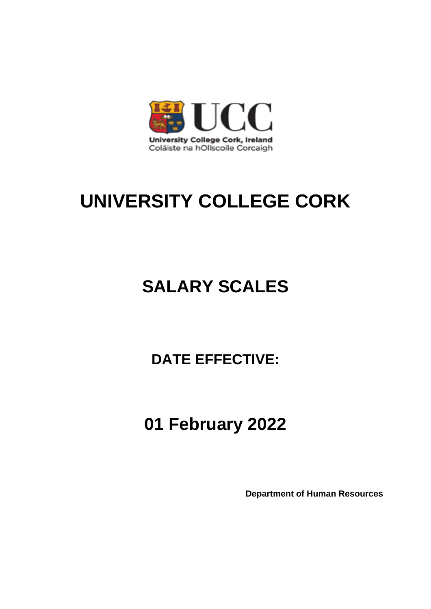

# **SALARY SCALES**

## **DATE EFFECTIVE:**

# **01 February 2022**

**Department of Human Resources**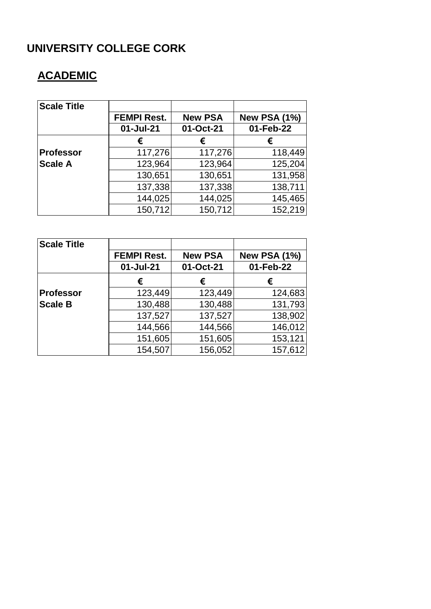## **ACADEMIC**

| <b>Scale Title</b> |                    |                |                     |
|--------------------|--------------------|----------------|---------------------|
|                    | <b>FEMPI Rest.</b> | <b>New PSA</b> | <b>New PSA (1%)</b> |
|                    | 01-Jul-21          | 01-Oct-21      | 01-Feb-22           |
|                    | €                  | €              | €                   |
| <b>Professor</b>   | 117,276            | 117,276        | 118,449             |
| <b>Scale A</b>     | 123,964            | 123,964        | 125,204             |
|                    | 130,651            | 130,651        | 131,958             |
|                    | 137,338            | 137,338        | 138,711             |
|                    | 144,025            | 144,025        | 145,465             |
|                    | 150,712            | 150,712        | 152,219             |

| <b>Scale Title</b> |                    |                |                     |
|--------------------|--------------------|----------------|---------------------|
|                    | <b>FEMPI Rest.</b> | <b>New PSA</b> | <b>New PSA (1%)</b> |
|                    | 01-Jul-21          | 01-Oct-21      | 01-Feb-22           |
|                    | €                  | €              | €                   |
| <b>Professor</b>   | 123,449            | 123,449        | 124,683             |
| <b>Scale B</b>     | 130,488            | 130,488        | 131,793             |
|                    | 137,527            | 137,527        | 138,902             |
|                    | 144,566            | 144,566        | 146,012             |
|                    | 151,605            | 151,605        | 153,121             |
|                    | 154,507            | 156,052        | 157,612             |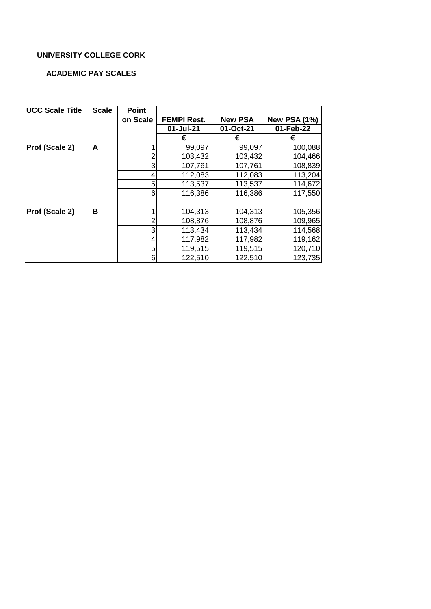#### **ACADEMIC PAY SCALES**

| <b>UCC Scale Title</b> | <b>Scale</b> | <b>Point</b>   |                    |                |                     |
|------------------------|--------------|----------------|--------------------|----------------|---------------------|
|                        |              | on Scale       | <b>FEMPI Rest.</b> | <b>New PSA</b> | <b>New PSA (1%)</b> |
|                        |              |                | 01-Jul-21          | 01-Oct-21      | 01-Feb-22           |
|                        |              |                | €                  | €              | €                   |
| Prof (Scale 2)         | A            | 1              | 99,097             | 99,097         | 100,088             |
|                        |              | 2              | 103,432            | 103,432        | 104,466             |
|                        |              | 3              | 107,761            | 107,761        | 108,839             |
|                        |              | 4              | 112,083            | 112,083        | 113,204             |
|                        |              | 5              | 113,537            | 113,537        | 114,672             |
|                        |              | 6              | 116,386            | 116,386        | 117,550             |
|                        |              |                |                    |                |                     |
| Prof (Scale 2)         | в            | 1              | 104,313            | 104,313        | 105,356             |
|                        |              | $\overline{2}$ | 108,876            | 108,876        | 109,965             |
|                        |              | 3              | 113,434            | 113,434        | 114,568             |
|                        |              | 4              | 117,982            | 117,982        | 119,162             |
|                        |              | 5              | 119,515            | 119,515        | 120,710             |
|                        |              | 6              | 122,510            | 122,510        | 123,735             |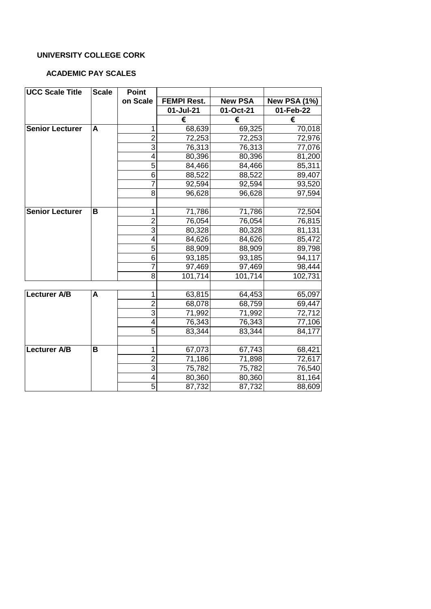#### **ACADEMIC PAY SCALES**

| <b>UCC Scale Title</b> | <b>Scale</b> | <b>Point</b>            |                    |                |                     |
|------------------------|--------------|-------------------------|--------------------|----------------|---------------------|
|                        |              | on Scale                | <b>FEMPI Rest.</b> | <b>New PSA</b> | <b>New PSA (1%)</b> |
|                        |              |                         | 01-Jul-21          | 01-Oct-21      | 01-Feb-22           |
|                        |              |                         | €                  | €              | €                   |
| <b>Senior Lecturer</b> | A            | 1                       | 68,639             | 69,325         | 70,018              |
|                        |              | $\overline{2}$          | 72,253             | 72,253         | 72,976              |
|                        |              | $\overline{3}$          | 76,313             | 76,313         | 77,076              |
|                        |              | 4                       | 80,396             | 80,396         | 81,200              |
|                        |              | 5                       | 84,466             | 84,466         | 85,311              |
|                        |              | 6                       | 88,522             | 88,522         | 89,407              |
|                        |              | $\overline{7}$          | 92,594             | 92,594         | 93,520              |
|                        |              | 8                       | 96,628             | 96,628         | 97,594              |
|                        |              |                         |                    |                |                     |
| <b>Senior Lecturer</b> | B            | $\mathbf 1$             | 71,786             | 71,786         | 72,504              |
|                        |              | $\overline{2}$          | 76,054             | 76,054         | 76,815              |
|                        |              | $\overline{3}$          | 80,328             | 80,328         | 81,131              |
|                        |              | $\overline{\mathbf{4}}$ | 84,626             | 84,626         | 85,472              |
|                        |              | 5                       | 88,909             | 88,909         | 89,798              |
|                        |              | $\overline{6}$          | 93,185             | 93,185         | 94,117              |
|                        |              | $\overline{7}$          | 97,469             | 97,469         | 98,444              |
|                        |              | 8                       | 101,714            | 101,714        | 102,731             |
|                        |              |                         |                    |                |                     |
| <b>Lecturer A/B</b>    | A            | 1                       | 63,815             | 64,453         | 65,097              |
|                        |              | $\overline{2}$          | 68,078             | 68,759         | 69,447              |
|                        |              | 3                       | 71,992             | 71,992         | 72,712              |
|                        |              | 4                       | 76,343             | 76,343         | 77,106              |
|                        |              | $\overline{5}$          | 83,344             | 83,344         | 84,177              |
|                        |              |                         |                    |                |                     |
| <b>Lecturer A/B</b>    | B            | 1                       | 67,073             | 67,743         | 68,421              |
|                        |              | $\overline{2}$          | 71,186             | 71,898         | 72,617              |
|                        |              | $\overline{3}$          | 75,782             | 75,782         | 76,540              |
|                        |              | 4                       | 80,360             | 80,360         | 81,164              |
|                        |              | $\overline{5}$          | 87,732             | 87,732         | 88,609              |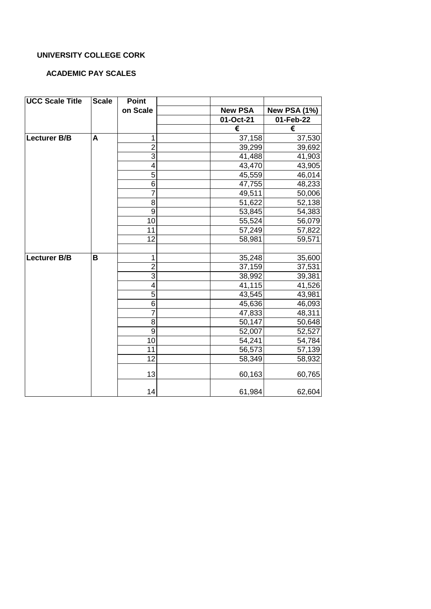#### **ACADEMIC PAY SCALES**

| <b>UCC Scale Title</b> | <b>Scale</b> | <b>Point</b>            |                |                     |
|------------------------|--------------|-------------------------|----------------|---------------------|
|                        |              | on Scale                | <b>New PSA</b> | <b>New PSA (1%)</b> |
|                        |              |                         | 01-Oct-21      | 01-Feb-22           |
|                        |              |                         | €              | €                   |
| <b>Lecturer B/B</b>    | A            | 1                       | 37,158         | 37,530              |
|                        |              | $\overline{2}$          | 39,299         | 39,692              |
|                        |              | $\overline{3}$          | 41,488         | 41,903              |
|                        |              | 4                       | 43,470         | 43,905              |
|                        |              | $\overline{5}$          | 45,559         | 46,014              |
|                        |              | $\overline{6}$          | 47,755         | 48,233              |
|                        |              | 7                       | 49,511         | 50,006              |
|                        |              | 8                       | 51,622         | 52,138              |
|                        |              | $\overline{9}$          | 53,845         | 54,383              |
|                        |              | 10                      | 55,524         | 56,079              |
|                        |              | 11                      | 57,249         | 57,822              |
|                        |              | 12                      | 58,981         | 59,571              |
|                        |              |                         |                |                     |
| <b>Lecturer B/B</b>    | B            | 1                       | 35,248         | 35,600              |
|                        |              | $\overline{\mathbf{c}}$ | 37,159         | 37,531              |
|                        |              | $\overline{3}$          | 38,992         | 39,381              |
|                        |              | 4                       | 41,115         | 41,526              |
|                        |              | $\overline{5}$          | 43,545         | 43,981              |
|                        |              | 6                       | 45,636         | 46,093              |
|                        |              | $\overline{7}$          | 47,833         | 48,311              |
|                        |              | $\overline{8}$          | 50,147         | 50,648              |
|                        |              | $\boldsymbol{9}$        | 52,007         | 52,527              |
|                        |              | 10                      | 54,241         | 54,784              |
|                        |              | $\overline{11}$         | 56,573         | 57,139              |
|                        |              | 12                      | 58,349         | 58,932              |
|                        |              | 13                      | 60,163         | 60,765              |
|                        |              | 14                      | 61,984         | 62,604              |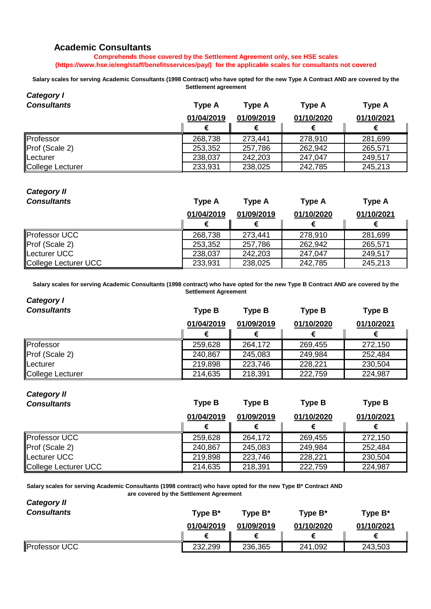#### **Academic Consultants**

**Comprehends those covered by the Settlement Agreement only, see HSE scales (https://www.hse.ie/eng/staff/benefitsservices/pay/) for the applicable scales for consultants not covered**

**Salary scales for serving Academic Consultants (1998 Contract) who have opted for the new Type A Contract AND are covered by the Settlement agreement**

| <b>Category I</b>  |               |               |               |            |
|--------------------|---------------|---------------|---------------|------------|
| <b>Consultants</b> | <b>Type A</b> | <b>Type A</b> | <b>Type A</b> | Type A     |
|                    | 01/04/2019    | 01/09/2019    | 01/10/2020    | 01/10/2021 |
|                    |               |               | €             |            |
| Professor          | 268,738       | 273,441       | 278,910       | 281,699    |
| Prof (Scale 2)     | 253,352       | 257,786       | 262,942       | 265,571    |
| Lecturer           | 238,037       | 242,203       | 247,047       | 249,517    |
| College Lecturer   | 233,931       | 238,025       | 242,785       | 245,213    |

## *Category II*

| <b>Consultants</b>   | <b>Type A</b> | <b>Type A</b> | <b>Type A</b> | <b>Type A</b> |
|----------------------|---------------|---------------|---------------|---------------|
|                      | 01/04/2019    | 01/09/2019    | 01/10/2020    | 01/10/2021    |
|                      |               |               |               |               |
| <b>Professor UCC</b> | 268,738       | 273,441       | 278,910       | 281,699       |
| Prof (Scale 2)       | 253,352       | 257,786       | 262,942       | 265,571       |
| Lecturer UCC         | 238,037       | 242,203       | 247,047       | 249,517       |
| College Lecturer UCC | 233,931       | 238,025       | 242,785       | 245,213       |

**Salary scales for serving Academic Consultants (1998 contract) who have opted for the new Type B Contract AND are covered by the Settlement Agreement**

| Category I         |               |               |               |               |
|--------------------|---------------|---------------|---------------|---------------|
| <b>Consultants</b> | <b>Type B</b> | <b>Type B</b> | <b>Type B</b> | <b>Type B</b> |
|                    | 01/04/2019    | 01/09/2019    | 01/10/2020    | 01/10/2021    |
|                    |               |               | €             |               |
| Professor          | 259,628       | 264,172       | 269,455       | 272,150       |
| Prof (Scale 2)     | 240,867       | 245,083       | 249,984       | 252,484       |
| Lecturer           | 219,898       | 223,746       | 228,221       | 230,504       |
| College Lecturer   | 214,635       | 218,391       | 222,759       | 224,987       |

#### *Category II Consultants* **Type B Type B Type B Type B 01/04/2019 01/09/2019 01/10/2020 01/10/2021 € € € €** Professor UCC 259,628 264,172 269,455 272,150 Prof (Scale 2) 240,867 245,083 249,984 252,484 Lecturer UCC 219,898 223,746 228,221 230,504 College Lecturer UCC 214,635 214,635 218,391 222,759 224,987

**Salary scales for serving Academic Consultants (1998 contract) who have opted for the new Type B\* Contract AND are covered by the Settlement Agreement**

| <b>Category II</b>   |            |            |            |            |
|----------------------|------------|------------|------------|------------|
| <b>Consultants</b>   | Type $B^*$ | Type $B^*$ | Type $B^*$ | Type $B^*$ |
|                      | 01/04/2019 | 01/09/2019 | 01/10/2020 | 01/10/2021 |
|                      |            |            |            |            |
| <b>Professor UCC</b> | 232,299    | 236,365    | 241,092    | 243,503    |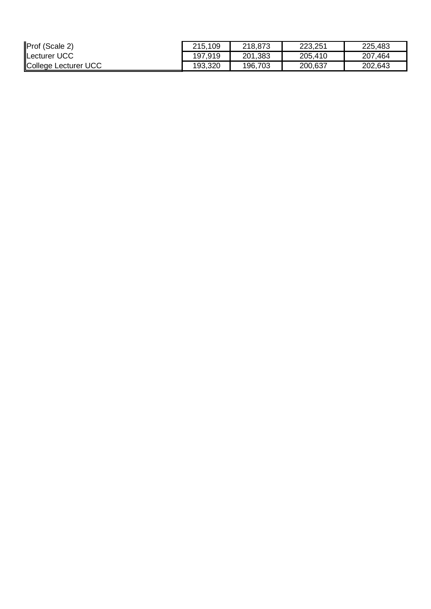| Prof (Scale 2)       | 215,109 | 218,873 | 223,251 | 225,483 |
|----------------------|---------|---------|---------|---------|
| Lecturer UCC         | 197,919 | 201,383 | 205,410 | 207,464 |
| College Lecturer UCC | 193,320 | 196,703 | 200,637 | 202,643 |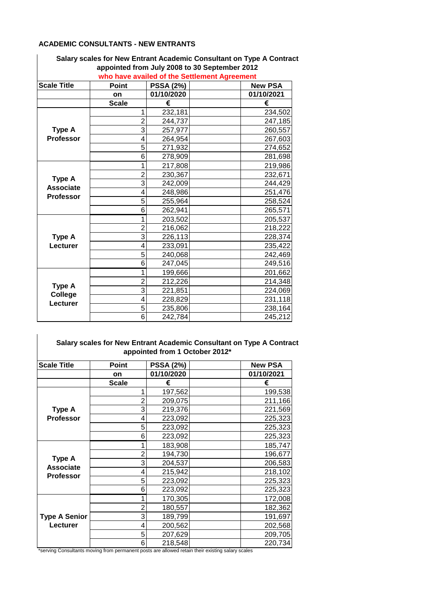#### **ACADEMIC CONSULTANTS - NEW ENTRANTS**

| <b>Scale Title</b> | Point          | <b>PSSA (2%)</b> | who have availed of the Settlement Agreement | <b>New PSA</b> |
|--------------------|----------------|------------------|----------------------------------------------|----------------|
|                    | on             | 01/10/2020       |                                              | 01/10/2021     |
|                    | <b>Scale</b>   | €                |                                              | €              |
|                    | 1              | 232,181          |                                              | 234,502        |
|                    | $\overline{2}$ | 244,737          |                                              | 247,185        |
| Type A             | 3              | 257,977          |                                              | 260,557        |
| <b>Professor</b>   | 4              | 264,954          |                                              | 267,603        |
|                    | 5              | 271,932          |                                              | 274,652        |
|                    | 6              | 278,909          |                                              | 281,698        |
|                    | 1              | 217,808          |                                              | 219,986        |
|                    | $\overline{2}$ | 230,367          |                                              | 232,671        |
| Type A             | 3              | 242,009          |                                              | 244,429        |
| <b>Associate</b>   | 4              | 248,986          |                                              | 251,476        |
| <b>Professor</b>   | 5              | 255,964          |                                              | 258,524        |
|                    | 6              | 262,941          |                                              | 265,571        |
|                    | 1              | 203,502          |                                              | 205,537        |
|                    | $\overline{2}$ | 216,062          |                                              | 218,222        |
| Type A             | 3              | 226,113          |                                              | 228,374        |
| Lecturer           | 4              | 233,091          |                                              | 235,422        |
|                    | 5              | 240,068          |                                              | 242,469        |
|                    | 6              | 247,045          |                                              | 249,516        |
|                    | 1              | 199,666          |                                              | 201,662        |
|                    | $\overline{2}$ | 212,226          |                                              | 214,348        |
| Type A             | 3              | 221,851          |                                              | 224,069        |
| College            | 4              | 228,829          |                                              | 231,118        |
| Lecturer           | 5              | 235,806          |                                              | 238,164        |
|                    | 6              | 242,784          |                                              | 245,212        |

### **Salary scales for New Entrant Academic Consultant on Type A Contract appointed from July 2008 to 30 September 2012**

#### **Salary scales for New Entrant Academic Consultant on Type A Contract appointed from 1 October 2012\***

| <b>Scale Title</b>   | Point        | <b>PSSA (2%)</b> | <b>New PSA</b> |
|----------------------|--------------|------------------|----------------|
|                      | on           | 01/10/2020       | 01/10/2021     |
|                      | <b>Scale</b> | €                | €              |
|                      |              | 197,562          | 199,538        |
|                      |              | 209,075          | 211,166        |
| <b>Type A</b>        | 3            | 219,376          | 221,569        |
| <b>Professor</b>     |              | 223,092          | 225,323        |
|                      | 5            | 223,092          | 225,323        |
|                      | 6            | 223,092          | 225,323        |
|                      |              | 183,908          | 185,747        |
| <b>Type A</b>        |              | 194,730          | 196,677        |
| <b>Associate</b>     | 3            | 204,537          | 206,583        |
| <b>Professor</b>     | 4            | 215,942          | 218,102        |
|                      | 5            | 223,092          | 225,323        |
|                      | 6            | 223,092          | 225,323        |
|                      |              | 170,305          | 172,008        |
|                      |              | 180,557          | 182,362        |
| <b>Type A Senior</b> | 3            | 189,799          | 191,697        |
| Lecturer             | 4            | 200,562          | 202,568        |
|                      | 5            | 207,629          | 209,705        |
|                      | 6            | 218,548          | 220,734        |

\*serving Consultants moving from permanent posts are allowed retain their existing salary scales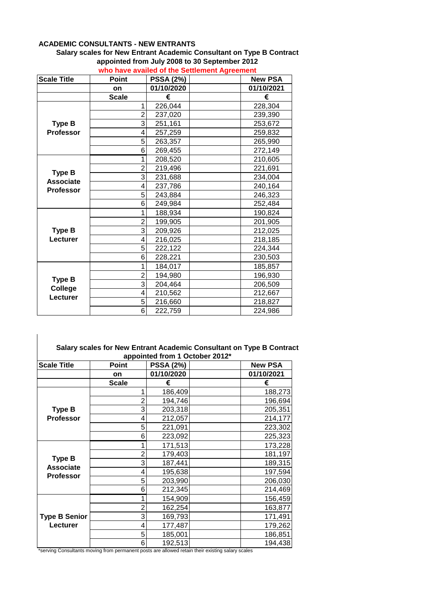#### **ACADEMIC CONSULTANTS - NEW ENTRANTS**

#### **Salary scales for New Entrant Academic Consultant on Type B Contract appointed from July 2008 to 30 September 2012**

| <b>Scale Title</b> | <b>Point</b>   | <b>PSSA (2%)</b> | <b>New PSA</b> |
|--------------------|----------------|------------------|----------------|
|                    | on             | 01/10/2020       | 01/10/2021     |
|                    | <b>Scale</b>   | €                | €              |
|                    | 1              | 226,044          | 228,304        |
|                    | $\overline{2}$ | 237,020          | 239,390        |
| <b>Type B</b>      | 3              | 251,161          | 253,672        |
| <b>Professor</b>   | 4              | 257,259          | 259,832        |
|                    | 5              | 263,357          | 265,990        |
|                    | 6              | 269,455          | 272,149        |
|                    | 1              | 208,520          | 210,605        |
| <b>Type B</b>      | $\overline{2}$ | 219,496          | 221,691        |
| <b>Associate</b>   | 3              | 231,688          | 234,004        |
| <b>Professor</b>   | 4              | 237,786          | 240,164        |
|                    | 5              | 243,884          | 246,323        |
|                    | 6              | 249,984          | 252,484        |
|                    |                | 188,934          | 190,824        |
|                    | $\overline{2}$ | 199,905          | 201,905        |
| <b>Type B</b>      | 3              | 209,926          | 212,025        |
| Lecturer           | 4              | 216,025          | 218,185        |
|                    | 5              | 222,122          | 224,344        |
|                    | 6              | 228,221          | 230,503        |
|                    | 1              | 184,017          | 185,857        |
| <b>Type B</b>      | $\overline{2}$ | 194,980          | 196,930        |
| College            | 3              | 204,464          | 206,509        |
| Lecturer           | 4              | 210,562          | 212,667        |
|                    | 5              | 216,660          | 218,827        |
|                    | 6              | 222,759          | 224,986        |

### **who have availed of the Settlement Agreement**

| Salary scales for New Entrant Academic Consultant on Type B Contract |
|----------------------------------------------------------------------|
| appointed from 1 October 2012*                                       |

| <b>Scale Title</b>   | Point        | <b>PSSA (2%)</b> | <b>New PSA</b> |
|----------------------|--------------|------------------|----------------|
|                      | on           | 01/10/2020       | 01/10/2021     |
|                      | <b>Scale</b> | €                | €              |
|                      |              | 186,409          | 188,273        |
|                      | 2            | 194,746          | 196,694        |
| <b>Type B</b>        | 3            | 203,318          | 205,351        |
| <b>Professor</b>     |              | 212,057          | 214,177        |
|                      | 5            | 221,091          | 223,302        |
|                      | 6            | 223,092          | 225,323        |
|                      |              | 171,513          | 173,228        |
| <b>Type B</b>        | 2            | 179,403          | 181,197        |
| <b>Associate</b>     | 3            | 187,441          | 189,315        |
| <b>Professor</b>     |              | 195,638          | 197,594        |
|                      | 5            | 203,990          | 206,030        |
|                      | 6            | 212,345          | 214,469        |
|                      |              | 154,909          | 156,459        |
|                      | 2            | 162,254          | 163,877        |
| <b>Type B Senior</b> | 3            | 169,793          | 171,491        |
| Lecturer             |              | 177,487          | 179,262        |
|                      | 5            | 185,001          | 186,851        |
|                      | 6            | 192,513          | 194,438        |

\*serving Consultants moving from permanent posts are allowed retain their existing salary scales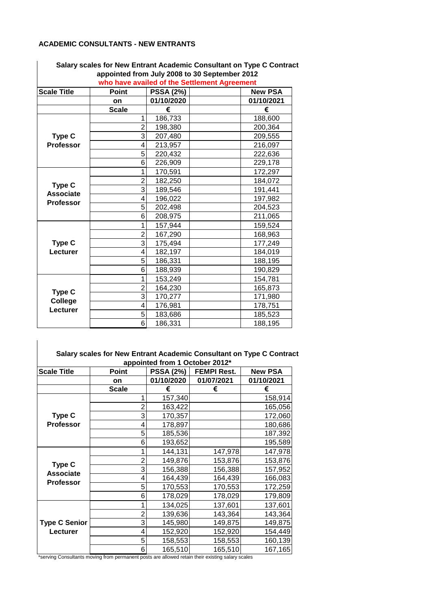#### **ACADEMIC CONSULTANTS - NEW ENTRANTS**

|                    |                |                  | appointed from July 2008 to 30 September 2012<br>who have availed of the Settlement Agreement |
|--------------------|----------------|------------------|-----------------------------------------------------------------------------------------------|
| <b>Scale Title</b> | <b>Point</b>   | <b>PSSA (2%)</b> | <b>New PSA</b>                                                                                |
|                    | <b>on</b>      | 01/10/2020       | 01/10/2021                                                                                    |
|                    | <b>Scale</b>   | €                | €                                                                                             |
|                    | 1              | 186,733          | 188,600                                                                                       |
|                    | $\overline{2}$ | 198,380          | 200,364                                                                                       |
| Type C             | $\overline{3}$ | 207,480          | 209,555                                                                                       |
| <b>Professor</b>   | 4              | 213,957          | 216,097                                                                                       |
|                    | 5              | 220,432          | 222,636                                                                                       |
|                    | 6              | 226,909          | 229,178                                                                                       |
|                    | 1              | 170,591          | 172,297                                                                                       |
| Type C             | $\overline{2}$ | 182,250          | 184,072                                                                                       |
| <b>Associate</b>   | 3              | 189,546          | 191,441                                                                                       |
| <b>Professor</b>   | 4              | 196,022          | 197,982                                                                                       |
|                    | 5              | 202,498          | 204,523                                                                                       |
|                    | 6              | 208,975          | 211,065                                                                                       |
|                    | 1              | 157,944          | 159,524                                                                                       |
|                    | $\overline{2}$ | 167,290          | 168,963                                                                                       |
| Type C             | 3              | 175,494          | 177,249                                                                                       |
| Lecturer           | 4              | 182,197          | 184,019                                                                                       |
|                    | 5              | 186,331          | 188,195                                                                                       |
|                    | 6              | 188,939          | 190,829                                                                                       |
|                    | 1              | 153,249          | 154,781                                                                                       |
| Type C             | $\overline{c}$ | 164,230          | 165,873                                                                                       |
| <b>College</b>     | $\overline{3}$ | 170,277          | 171,980                                                                                       |
| Lecturer           | 4              | 176,981          | 178,751                                                                                       |
|                    | 5              | 183,686          | 185,523                                                                                       |
|                    | 6              | 186,331          | 188,195                                                                                       |

**Salary scales for New Entrant Academic Consultant on Type C Contract appointed from July 2008 to 30 September 2012** 

|                      | Salary scales for New Entrant Academic Consultant on Type C Contract |                                |                                  |                              |
|----------------------|----------------------------------------------------------------------|--------------------------------|----------------------------------|------------------------------|
|                      |                                                                      | appointed from 1 October 2012* |                                  |                              |
| <b>Scale Title</b>   | <b>Point</b>                                                         | <b>PSSA (2%)</b><br>01/10/2020 | <b>FEMPI Rest.</b><br>01/07/2021 | <b>New PSA</b><br>01/10/2021 |
|                      | on                                                                   |                                |                                  |                              |
|                      | <b>Scale</b>                                                         | €                              | €                                | €                            |
|                      | 1                                                                    | 157,340                        |                                  | 158,914                      |
|                      | $\overline{c}$                                                       | 163,422                        |                                  | 165,056                      |
| Type C               | 3                                                                    | 170,357                        |                                  | 172,060                      |
| Professor            | 4                                                                    | 178,897                        |                                  | 180,686                      |
|                      | 5                                                                    | 185,536                        |                                  | 187,392                      |
|                      | 6                                                                    | 193,652                        |                                  | 195,589                      |
|                      | 1                                                                    | 144,131                        | 147,978                          | 147,978                      |
|                      | $\overline{c}$                                                       | 149,876                        | 153,876                          | 153,876                      |
| Type C               | 3                                                                    | 156,388                        | 156,388                          | 157,952                      |
| <b>Associate</b>     | 4                                                                    | 164,439                        | 164,439                          | 166,083                      |
| Professor            | 5                                                                    | 170,553                        | 170,553                          | 172,259                      |
|                      | 6                                                                    | 178,029                        | 178,029                          | 179,809                      |
|                      | 1                                                                    | 134,025                        | 137,601                          | 137,601                      |
|                      | $\overline{c}$                                                       | 139,636                        | 143,364                          | 143,364                      |
| <b>Type C Senior</b> | 3                                                                    | 145,980                        | 149,875                          | 149,875                      |
| Lecturer             | 4                                                                    | 152,920                        | 152,920                          | 154,449                      |
|                      | 5                                                                    | 158,553                        | 158,553                          | 160,139                      |
|                      | 6                                                                    | 165,510                        | 165,510                          | 167,165                      |

**Salary scales for New Entrant Academic Consultant on Type C Contract** 

\*serving Consultants moving from permanent posts are allowed retain their existing salary scales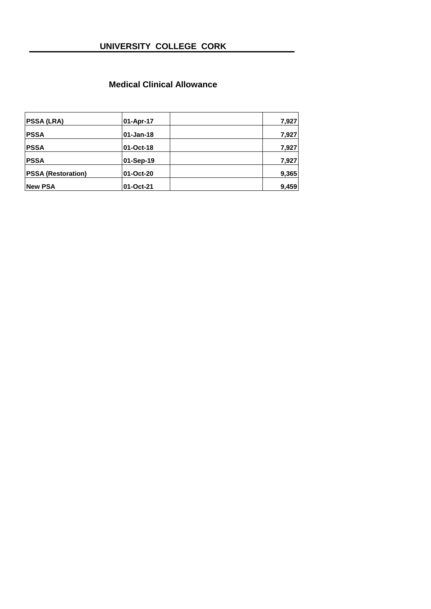#### **Medical Clinical Allowance**

| <b>PSSA (LRA)</b>         | 01-Apr-17 | 7,927 |
|---------------------------|-----------|-------|
| <b>PSSA</b>               | 01-Jan-18 | 7,927 |
| <b>PSSA</b>               | 01-Oct-18 | 7,927 |
| <b>PSSA</b>               | 01-Sep-19 | 7,927 |
| <b>PSSA (Restoration)</b> | 01-Oct-20 | 9.365 |
| <b>New PSA</b>            | 01-Oct-21 | 9.459 |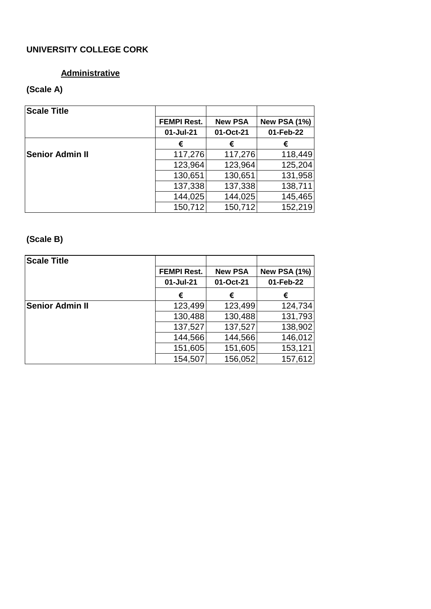## **Administrative**

## **(Scale A)**

| <b>Scale Title</b>     |                    |                |                     |
|------------------------|--------------------|----------------|---------------------|
|                        | <b>FEMPI Rest.</b> | <b>New PSA</b> | <b>New PSA (1%)</b> |
|                        | 01-Jul-21          | 01-Oct-21      | 01-Feb-22           |
|                        | €                  | €              | €                   |
| <b>Senior Admin II</b> | 117,276            | 117,276        | 118,449             |
|                        | 123,964            | 123,964        | 125,204             |
|                        | 130,651            | 130,651        | 131,958             |
|                        | 137,338            | 137,338        | 138,711             |
|                        | 144,025            | 144,025        | 145,465             |
|                        | 150,712            | 150,712        | 152,219             |

## **(Scale B)**

| <b>Scale Title</b>     |                    |                |                     |
|------------------------|--------------------|----------------|---------------------|
|                        | <b>FEMPI Rest.</b> | <b>New PSA</b> | <b>New PSA (1%)</b> |
|                        | 01-Jul-21          | 01-Oct-21      | 01-Feb-22           |
|                        | €                  | €              | €                   |
| <b>Senior Admin II</b> | 123,499            | 123,499        | 124,734             |
|                        | 130,488            | 130,488        | 131,793             |
|                        | 137,527            | 137,527        | 138,902             |
|                        | 144,566            | 144,566        | 146,012             |
|                        | 151,605            | 151,605        | 153,121             |
|                        | 154,507            | 156,052        | 157,612             |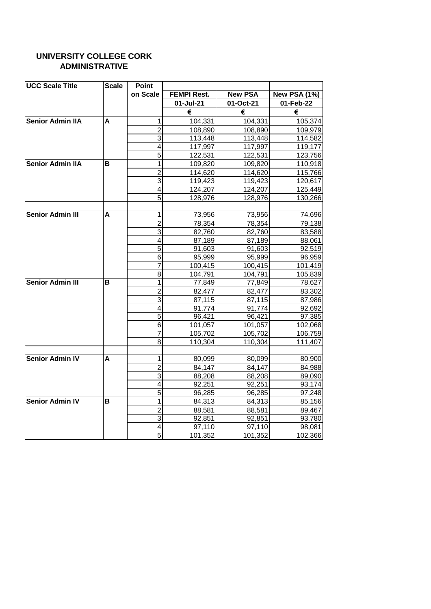#### **UNIVERSITY COLLEGE CORK ADMINISTRATIVE**

| <b>UCC Scale Title</b>  | <b>Scale</b> | <b>Point</b>            |                    |                |                     |
|-------------------------|--------------|-------------------------|--------------------|----------------|---------------------|
|                         |              | on Scale                | <b>FEMPI Rest.</b> | <b>New PSA</b> | <b>New PSA (1%)</b> |
|                         |              |                         | 01-Jul-21          | 01-Oct-21      | 01-Feb-22           |
|                         |              |                         | €                  | €              | €                   |
| <b>Senior Admin IIA</b> | A            | 1                       | 104,331            | 104,331        | 105,374             |
|                         |              | $\overline{2}$          | 108,890            | 108,890        | 109,979             |
|                         |              | $\overline{3}$          | 113,448            | 113,448        | 114,582             |
|                         |              | 4                       | 117,997            | 117,997        | 119,177             |
|                         |              | 5                       | 122,531            | 122,531        | 123,756             |
| <b>Senior Admin IIA</b> | в            | 1                       | 109,820            | 109,820        | 110,918             |
|                         |              | $\overline{2}$          | 114,620            | 114,620        | 115,766             |
|                         |              | $\overline{3}$          | 119,423            | 119,423        | 120,617             |
|                         |              | $\overline{4}$          | 124,207            | 124,207        | 125,449             |
|                         |              | 5                       | 128,976            | 128,976        | 130,266             |
|                         |              |                         |                    |                |                     |
| <b>Senior Admin III</b> | A            | 1                       | 73,956             | 73,956         | 74,696              |
|                         |              | $\overline{2}$          | 78,354             | 78,354         | 79,138              |
|                         |              | $\overline{3}$          | 82,760             | 82,760         | 83,588              |
|                         |              | 4                       | 87,189             | 87,189         | 88,061              |
|                         |              | $\overline{5}$          | 91,603             | 91,603         | 92,519              |
|                         |              | 6                       | 95,999             | 95,999         | 96,959              |
|                         |              | $\overline{7}$          | 100,415            | 100,415        | 101,419             |
|                         |              | 8                       | 104,791            | 104,791        | 105,839             |
| <b>Senior Admin III</b> | в            | $\overline{1}$          | 77,849             | 77,849         | 78,627              |
|                         |              | $\overline{2}$          | 82,477             | 82,477         | 83,302              |
|                         |              | 3                       | 87,115             | 87,115         | 87,986              |
|                         |              | 4                       | 91,774             | 91,774         | 92,692              |
|                         |              | $\overline{5}$          | 96,421             | 96,421         | 97,385              |
|                         |              | 6                       | 101,057            | 101,057        | 102,068             |
|                         |              | 7                       | 105,702            | 105,702        | 106,759             |
|                         |              | 8                       | 110,304            | 110,304        | 111,407             |
| <b>Senior Admin IV</b>  | A            | 1                       | 80,099             | 80,099         | 80,900              |
|                         |              | $\overline{2}$          | 84,147             | 84,147         | 84,988              |
|                         |              | $\overline{3}$          | 88,208             | 88,208         | 89,090              |
|                         |              | 4                       | 92,251             | 92,251         | 93,174              |
|                         |              | $\overline{5}$          | 96,285             | 96,285         | 97,248              |
| <b>Senior Admin IV</b>  | в            | 1                       | 84,313             | 84,313         | 85,156              |
|                         |              | $\overline{2}$          | 88,581             | 88,581         | 89,467              |
|                         |              | 3                       | 92,851             | 92,851         | 93,780              |
|                         |              | $\overline{\mathbf{4}}$ | 97,110             | 97,110         | 98,081              |
|                         |              | $\overline{5}$          | 101,352            | 101,352        | 102,366             |
|                         |              |                         |                    |                |                     |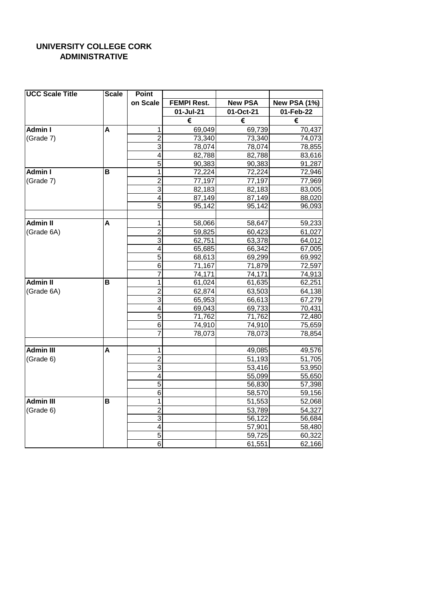### **UNIVERSITY COLLEGE CORK ADMINISTRATIVE**

| <b>UCC Scale Title</b> | <b>Scale</b> | Point          |                    |                |                     |
|------------------------|--------------|----------------|--------------------|----------------|---------------------|
|                        |              | on Scale       | <b>FEMPI Rest.</b> | <b>New PSA</b> | <b>New PSA (1%)</b> |
|                        |              |                | 01-Jul-21          | 01-Oct-21      | $01$ -Feb-22        |
|                        |              |                | €                  | €              | €                   |
| Admin I                | A            | 1              | 69,049             | 69,739         | 70,437              |
| (Grade 7)              |              | $\overline{2}$ | 73,340             | 73,340         | 74,073              |
|                        |              | $\overline{3}$ | 78,074             | 78,074         | 78,855              |
|                        |              | 4              | 82,788             | 82,788         | 83,616              |
|                        |              | 5              | 90,383             | 90,383         | 91,287              |
| <b>Admin I</b>         | в            | 1              | 72,224             | 72,224         | 72,946              |
| (Grade 7)              |              | $\overline{2}$ | 77,197             | 77,197         | 77,969              |
|                        |              | $\overline{3}$ | 82,183             | 82,183         | 83,005              |
|                        |              | 4              | 87,149             | 87,149         | 88,020              |
|                        |              | 5              | 95,142             | 95,142         | 96,093              |
|                        |              |                |                    |                |                     |
| <b>Admin II</b>        | А            | 1              | 58,066             | 58,647         | 59,233              |
| (Grade 6A)             |              | $\overline{2}$ | 59,825             | 60,423         | 61,027              |
|                        |              | 3              | 62,751             | 63,378         | 64,012              |
|                        |              | 4              | 65,685             | 66,342         | 67,005              |
|                        |              | 5              | 68,613             | 69,299         | 69,992              |
|                        |              | 6              | 71,167             | 71,879         | 72,597              |
|                        |              | 7              | 74,171             | 74,171         | 74,913              |
| <b>Admin II</b>        | B            | 1              | 61,024             | 61,635         | 62,251              |
| (Grade 6A)             |              | $\overline{2}$ | 62,874             | 63,503         | 64,138              |
|                        |              | $\overline{3}$ | 65,953             | 66,613         | 67,279              |
|                        |              | 4              | 69,043             | 69,733         | 70,431              |
|                        |              | 5              | 71,762             | 71,762         | 72,480              |
|                        |              | 6              | 74,910             | 74,910         | 75,659              |
|                        |              | 7              | 78,073             | 78,073         | 78,854              |
|                        |              |                |                    |                |                     |
| Admin III              | A            | 1              |                    | 49,085         | 49,576              |
| (Grade 6)              |              | $\overline{2}$ |                    | 51,193         | 51,705              |
|                        |              | $\overline{3}$ |                    | 53,416         | 53,950              |
|                        |              | 4              |                    | 55,099         | 55,650              |
|                        |              | 5              |                    | 56,830         | 57,398              |
|                        |              | 6              |                    | 58,570         | 59,156              |
| <b>Admin III</b>       | в            | 1              |                    | 51,553         | 52,068              |
| (Grade 6)              |              | $\overline{2}$ |                    | 53,789         | 54,327              |
|                        |              | $\overline{3}$ |                    | 56,122         | 56,684              |
|                        |              | 4              |                    | 57,901         | 58,480              |
|                        |              | 5              |                    | 59,725         | 60,322              |
|                        |              | 6              |                    | 61,551         | 62,166              |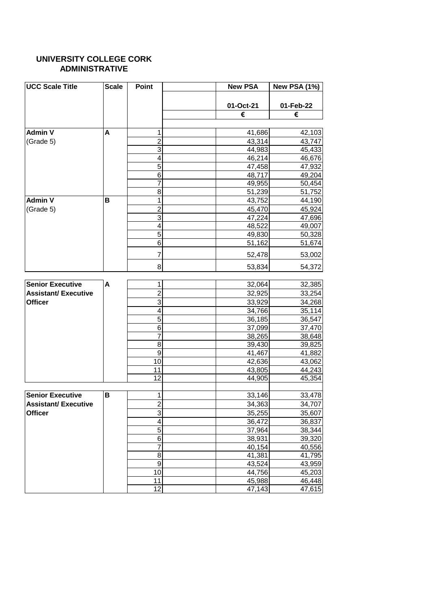#### **UNIVERSITY COLLEGE CORK ADMINISTRATIVE**

| <b>UCC Scale Title</b>      | <b>Scale</b> | Point           | <b>New PSA</b> | <b>New PSA (1%)</b> |
|-----------------------------|--------------|-----------------|----------------|---------------------|
|                             |              |                 | 01-Oct-21      | 01-Feb-22           |
|                             |              |                 | €              | €                   |
|                             |              |                 |                |                     |
| <b>Admin V</b>              | A            | 1               | 41,686         | 42,103              |
| (Grade 5)                   |              | $\overline{2}$  | 43,314         | 43,747              |
|                             |              | 3               | 44,983         | 45,433              |
|                             |              | 4               | 46,214         | 46,676              |
|                             |              | 5               | 47,458         | 47,932              |
|                             |              | 6               | 48,717         | 49,204              |
|                             |              | 7               | 49,955         | 50,454              |
|                             |              | 8               | 51,239         | 51,752              |
| <b>Admin V</b>              | В            | 1               | 43,752         | 44,190              |
| (Grade 5)                   |              | $\overline{2}$  | 45,470         | 45,924              |
|                             |              | 3               | 47,224         | 47,696              |
|                             |              | 4               | 48,522         | 49,007              |
|                             |              | 5               | 49,830         | 50,328              |
|                             |              | 6               | 51,162         | 51,674              |
|                             |              | 7               | 52,478         | 53,002              |
|                             |              | 8               | 53,834         | 54,372              |
|                             |              |                 |                |                     |
| <b>Senior Executive</b>     | A            | 1               | 32,064         | 32,385              |
| <b>Assistant/Executive</b>  |              | $\overline{2}$  | 32,925         | 33,254              |
| <b>Officer</b>              |              | 3               | 33,929         | 34,268              |
|                             |              | 4               | 34,766         | 35,114              |
|                             |              | $\overline{5}$  | 36,185         | 36,547              |
|                             |              | 6               | 37,099         | 37,470              |
|                             |              | $\overline{7}$  | 38,265         | 38,648              |
|                             |              | 8               | 39,430         | 39,825              |
|                             |              | 9               | 41,467         | 41,882              |
|                             |              | 10              | 42,636         | 43,062              |
|                             |              | 11              | 43,805         | 44,243              |
|                             |              | 12              | 44,905         | 45,354              |
| <b>Senior Executive</b>     | B            | 1               | 33,146         | 33,478              |
| <b>Assistant/ Executive</b> |              | $\overline{2}$  | 34,363         | 34,707              |
| <b>Officer</b>              |              | 3               | 35,255         | 35,607              |
|                             |              | 4               | 36,472         | 36,837              |
|                             |              | 5               | 37,964         | 38,344              |
|                             |              | 6               | 38,931         | 39,320              |
|                             |              | 7               | 40,154         | 40,556              |
|                             |              | 8               | 41,381         | 41,795              |
|                             |              | 9               | 43,524         | 43,959              |
|                             |              | $\overline{10}$ | 44,756         | 45,203              |
|                             |              | 11              | 45,988         | 46,448              |
|                             |              | $\overline{12}$ | 47,143         | 47,615              |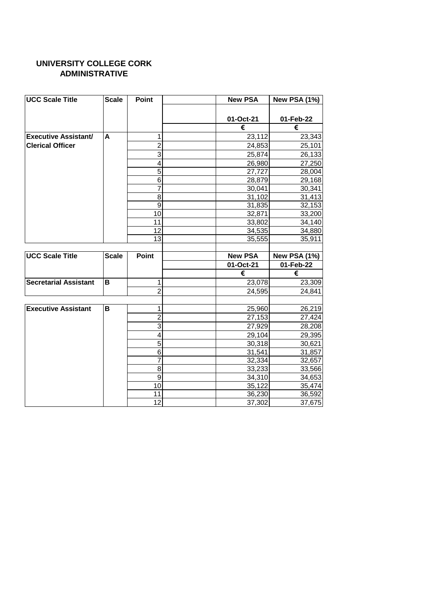### **ADMINISTRATIVE UNIVERSITY COLLEGE CORK**

| <b>UCC Scale Title</b>       | <b>Scale</b> | Point               | <b>New PSA</b>   | <b>New PSA (1%)</b> |
|------------------------------|--------------|---------------------|------------------|---------------------|
|                              |              |                     |                  |                     |
|                              |              |                     | 01-Oct-21        | 01-Feb-22           |
|                              |              |                     | €                | €                   |
| <b>Executive Assistant/</b>  | A            | 1                   | 23,112           | 23,343              |
| <b>Clerical Officer</b>      |              | $\overline{2}$      | 24,853           | 25,101              |
|                              |              | 3                   | 25,874           | 26,133              |
|                              |              | 4                   | 26,980           | 27,250              |
|                              |              | 5                   | 27,727           | 28,004              |
|                              |              | 6                   | 28,879           | 29,168              |
|                              |              | 7                   | 30,041           | 30,341              |
|                              |              | 8                   | 31,102           | 31,413              |
|                              |              | 9                   | 31,835           | 32,153              |
|                              |              | 10                  | 32,871           | 33,200              |
|                              |              | 11                  | 33,802           | 34,140              |
|                              |              | 12                  | 34,535           | 34,880              |
|                              |              | 13                  | 35,555           | 35,911              |
|                              |              |                     |                  |                     |
| <b>UCC Scale Title</b>       | <b>Scale</b> | <b>Point</b>        | <b>New PSA</b>   | <b>New PSA (1%)</b> |
|                              |              |                     | 01-Oct-21        | 01-Feb-22           |
|                              |              |                     |                  |                     |
|                              |              |                     | €                | €                   |
|                              | B            | 1                   | 23,078           | 23,309              |
|                              |              | $\overline{2}$      | 24,595           | 24,841              |
| <b>Secretarial Assistant</b> |              |                     |                  |                     |
| <b>Executive Assistant</b>   | B            | 1                   | 25,960           | 26,219              |
|                              |              | $\overline{2}$      | 27,153           |                     |
|                              |              | 3                   | 27,929           | 27,424              |
|                              |              | 4                   |                  | 28,208              |
|                              |              |                     | 29,104           | 29,395              |
|                              |              | 5                   | 30,318           | 30,621              |
|                              |              | 6<br>$\overline{7}$ | 31,541           | 31,857              |
|                              |              | 8                   | 32,334           | 32,657              |
|                              |              | 9                   | 33,233           | 33,566              |
|                              |              | 10                  | 34,310           | 34,653              |
|                              |              | 11                  | 35,122<br>36,230 | 35,474<br>36,592    |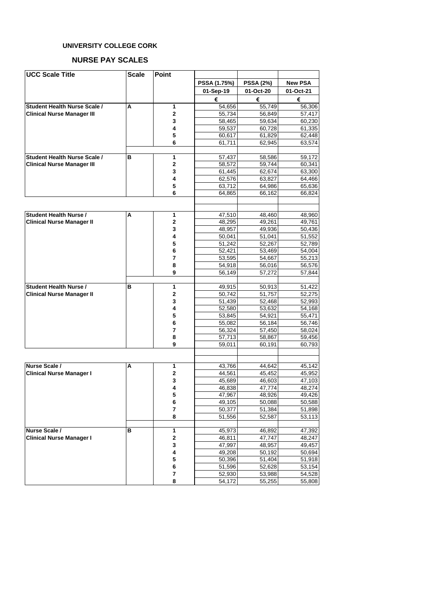#### **NURSE PAY SCALES**

| <b>UCC Scale Title</b>            | <b>Scale</b> | <b>Point</b>   |                  |                  |                  |
|-----------------------------------|--------------|----------------|------------------|------------------|------------------|
|                                   |              |                | PSSA (1.75%)     | <b>PSSA (2%)</b> | <b>New PSA</b>   |
|                                   |              |                | 01-Sep-19        | 01-Oct-20        | 01-Oct-21        |
|                                   |              |                |                  |                  |                  |
|                                   |              |                | €                | €                | €                |
| Student Health Nurse Scale /      | А            | 1              | 54,656           | 55,749           | 56,306           |
| <b>Clinical Nurse Manager III</b> |              | $\mathbf{2}$   | 55,734           | 56,849           | 57,417           |
|                                   |              | 3              | 58,465           | 59,634           | 60,230           |
|                                   |              | 4              | 59,537           | 60,728           | 61,335           |
|                                   |              | 5              | 60,617           | 61,829           | 62,448           |
|                                   |              | 6              | 61,711           | 62,945           | 63,574           |
| Student Health Nurse Scale /      | в            | 1              | 57,437           | 58,586           | 59,172           |
| <b>Clinical Nurse Manager III</b> |              | $\mathbf{2}$   | 58,572           | 59,744           | 60,341           |
|                                   |              | 3              | 61,445           | 62,674           | 63,300           |
|                                   |              | 4              | 62,576           | 63,827           | 64,466           |
|                                   |              | 5              | 63,712           | 64,986           | 65,636           |
|                                   |              | 6              | 64,865           | 66,162           | 66,824           |
|                                   |              |                |                  |                  |                  |
| <b>Student Health Nurse /</b>     | А            | 1              | 47,510           | 48.460           | 48,960           |
| <b>Clinical Nurse Manager II</b>  |              | 2              | 48,295           | 49,261           | 49,761           |
|                                   |              | 3              | 48,957           | 49,936           | 50,436           |
|                                   |              | 4              | 50.041           | 51,041           | 51,552           |
|                                   |              | 5              | 51,242           | 52,267           | 52.789           |
|                                   |              | 6              | 52,421           | 53,469           | 54,004           |
|                                   |              | $\overline{7}$ | 53,595           | 54,667           | 55,213           |
|                                   |              | 8              | 54,918           | 56,016           | 56,576           |
|                                   |              | 9              | 56,149           | 57,272           | 57,844           |
| <b>Student Health Nurse /</b>     | в            | 1              | 49,915           | 50,913           | 51,422           |
| <b>Clinical Nurse Manager II</b>  |              | $\mathbf{2}$   | 50,742           | 51,757           | 52,275           |
|                                   |              | 3              | 51,439           | 52,468           | 52,993           |
|                                   |              | 4              | 52,580           | 53,632           | 54,168           |
|                                   |              | 5              | 53,845           | 54,921           | 55,471           |
|                                   |              | 6              | 55,082           | 56,184           | 56,746           |
|                                   |              | $\overline{7}$ | 56,324           | 57,450           | 58,024           |
|                                   |              | 8              | 57,713           | 58,867           | 59,456           |
|                                   |              | 9              | 59,011           | 60,191           | 60,793           |
|                                   |              |                |                  |                  |                  |
| Nurse Scale /                     | A            | 1              | 43,766           | 44,642           | 45,142           |
| <b>Clinical Nurse Manager I</b>   |              | $\mathbf{2}$   | 44,561           | 45,452           | 45,952           |
|                                   |              | 3              | 45,689           | 46,603           | 47,103           |
|                                   |              | 4              | 46,838           | 47,774           | 48,274           |
|                                   |              | 5              | 47,967           | 48,926           | 49,426           |
|                                   |              | 6              | 49,105           | 50,088           | 50,588           |
|                                   |              | 7              | 50,377           | 51,384           | 51,898           |
|                                   |              | 8              | 51,556           | 52,587           | 53,113           |
|                                   |              |                |                  |                  |                  |
| Nurse Scale /                     | в            | 1              | 45,973           | 46,892           | 47,392           |
| <b>Clinical Nurse Manager I</b>   |              | $\mathbf 2$    | 46,811           | 47,747           | 48,247           |
|                                   |              | 3              | 47,997           | 48,957           | 49,457           |
|                                   |              | 4<br>5         | 49,208<br>50,396 | 50,192           | 50,694           |
|                                   |              | 6              |                  | 51,404           | 51,918           |
|                                   |              | 7              | 51,596<br>52,930 | 52,628<br>53,988 | 53,154<br>54,528 |
|                                   |              | 8              | 54,172           | 55,255           | 55,808           |
|                                   |              |                |                  |                  |                  |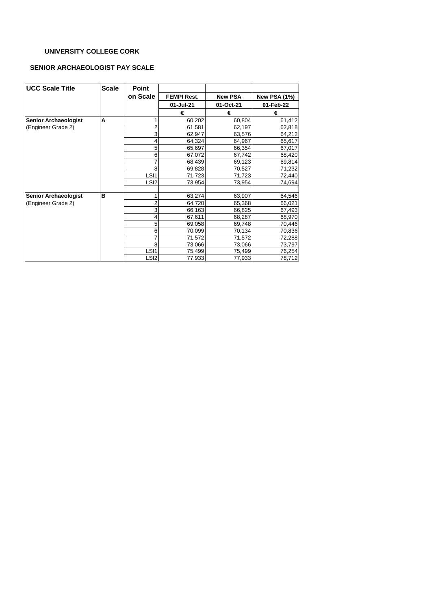#### **SENIOR ARCHAEOLOGIST PAY SCALE**

| <b>UCC Scale Title</b>      | <b>Scale</b> | <b>Point</b>     |                    |                |                     |
|-----------------------------|--------------|------------------|--------------------|----------------|---------------------|
|                             |              | on Scale         | <b>FEMPI Rest.</b> | <b>New PSA</b> | <b>New PSA (1%)</b> |
|                             |              |                  | 01-Jul-21          | 01-Oct-21      | 01-Feb-22           |
|                             |              |                  | €                  | €              | €                   |
| <b>Senior Archaeologist</b> | A            |                  | 60,202             | 60,804         | 61,412              |
| (Engineer Grade 2)          |              | 2                | 61,581             | 62,197         | 62,818              |
|                             |              | 3                | 62,947             | 63,576         | 64,212              |
|                             |              | 4                | 64,324             | 64,967         | 65,617              |
|                             |              | 5                | 65,697             | 66,354         | 67,017              |
|                             |              | 6                | 67,072             | 67,742         | 68,420              |
|                             |              |                  | 68,439             | 69,123         | 69,814              |
|                             |              | 8                | 69,828             | 70,527         | 71,232              |
|                             |              | LSI <sub>1</sub> | 71,723             | 71,723         | 72,440              |
|                             |              | LSI <sub>2</sub> | 73,954             | 73,954         | 74,694              |
| <b>Senior Archaeologist</b> | в            |                  | 63,274             | 63,907         | 64,546              |
| (Engineer Grade 2)          |              |                  | 64,720             | 65,368         | 66,021              |
|                             |              | 3                | 66,163             | 66,825         | 67,493              |
|                             |              | 4                | 67,611             | 68,287         | 68,970              |
|                             |              | 5                | 69,058             | 69,748         | 70,446              |
|                             |              | 6                | 70,099             | 70,134         | 70,836              |
|                             |              |                  | 71,572             | 71,572         | 72,288              |
|                             |              | 8                | 73,066             | 73,066         | 73,797              |
|                             |              | LSI <sub>1</sub> | 75,499             | 75,499         | 76,254              |
|                             |              | LSI <sub>2</sub> | 77,933             | 77,933         | 78,712              |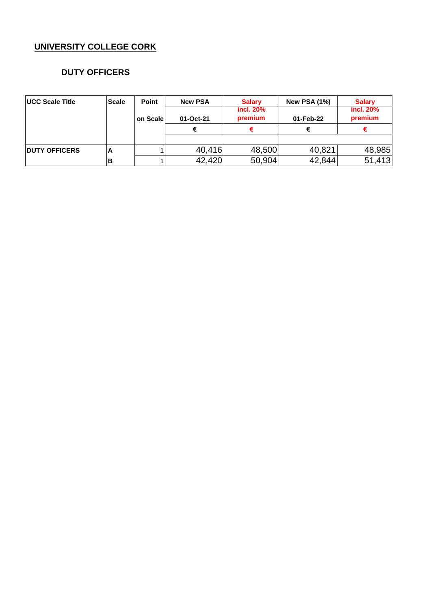### **DUTY OFFICERS**

| <b>IUCC Scale Title</b> | <b>Scale</b> | Point    | <b>New PSA</b> | <b>Salary</b>        | <b>New PSA (1%)</b> | <b>Salary</b>        |
|-------------------------|--------------|----------|----------------|----------------------|---------------------|----------------------|
|                         |              | on Scale | 01-Oct-21      | incl. 20%<br>premium | 01-Feb-22           | incl. 20%<br>premium |
|                         |              |          |                |                      |                     |                      |
|                         |              |          |                |                      |                     |                      |
| <b>IDUTY OFFICERS</b>   | A            |          | 40,416         | 48,500               | 40,821              | 48,985               |
|                         |              |          | 42,420         | 50,904               | 42,844              | 51,413               |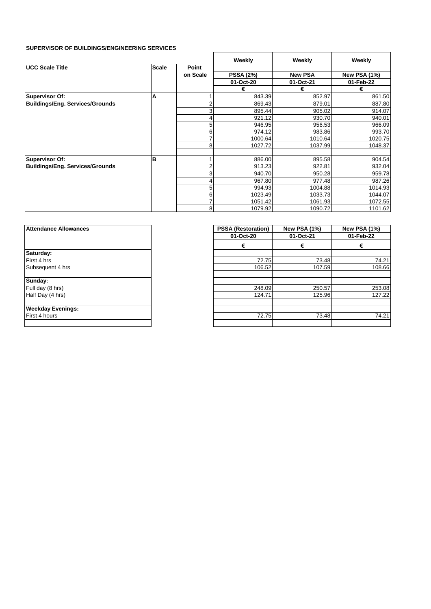#### **SUPERVISOR OF BUILDINGS/ENGINEERING SERVICES**

|                                        |              |          | Weekly           | Weekly         | Weekly              |
|----------------------------------------|--------------|----------|------------------|----------------|---------------------|
| <b>UCC Scale Title</b>                 | <b>Scale</b> | Point    |                  |                |                     |
|                                        |              | on Scale | <b>PSSA (2%)</b> | <b>New PSA</b> | <b>New PSA (1%)</b> |
|                                        |              |          | 01-Oct-20        | 01-Oct-21      | 01-Feb-22           |
|                                        |              |          | €                | €              | €                   |
| Supervisor Of:                         | A            |          | 843.39           | 852.97         | 861.50              |
| Buildings/Eng. Services/Grounds        |              | 2        | 869.43           | 879.01         | 887.80              |
|                                        |              | 3        | 895.44           | 905.02         | 914.07              |
|                                        |              | 4        | 921.12           | 930.70         | 940.01              |
|                                        |              | 5        | 946.95           | 956.53         | 966.09              |
|                                        |              | 6        | 974.12           | 983.86         | 993.70              |
|                                        |              | 7        | 1000.64          | 1010.64        | 1020.75             |
|                                        |              | 8        | 1027.72          | 1037.99        | 1048.37             |
|                                        |              |          |                  |                |                     |
| Supervisor Of:                         | B            |          | 886.00           | 895.58         | 904.54              |
| <b>Buildings/Eng. Services/Grounds</b> |              | 2        | 913.23           | 922.81         | 932.04              |
|                                        |              | 3        | 940.70           | 950.28         | 959.78              |
|                                        |              | 4        | 967.80           | 977.48         | 987.26              |
|                                        |              | 5        | 994.93           | 1004.88        | 1014.93             |
|                                        |              | 6        | 1023.49          | 1033.73        | 1044.07             |
|                                        |              | 7        | 1051.42          | 1061.93        | 1072.55             |
|                                        |              | 8        | 1079.92          | 1090.72        | 1101.62             |

 $\overline{a}$ 

| <b>Attendance Allowances</b> |  |  |  |  |
|------------------------------|--|--|--|--|
|                              |  |  |  |  |
| Saturday:                    |  |  |  |  |
| First 4 hrs                  |  |  |  |  |
| Subsequent 4 hrs             |  |  |  |  |
|                              |  |  |  |  |
| Sunday:                      |  |  |  |  |
| Full day (8 hrs)             |  |  |  |  |
| Half Day (4 hrs)             |  |  |  |  |
|                              |  |  |  |  |
| <b>Weekday Evenings:</b>     |  |  |  |  |
| First 4 hours                |  |  |  |  |
|                              |  |  |  |  |

| <b>Attendance Allowances</b> | <b>PSSA (Restoration)</b> | <b>New PSA (1%)</b> | <b>New PSA (1%)</b> |  |
|------------------------------|---------------------------|---------------------|---------------------|--|
|                              | 01-Oct-20                 | 01-Oct-21           | 01-Feb-22           |  |
|                              | €                         | €                   | €                   |  |
| Saturday:                    |                           |                     |                     |  |
| First 4 hrs                  | 72.75                     | 73.48               | 74.21               |  |
| Subsequent 4 hrs             | 106.52                    | 107.59              | 108.66              |  |
| Sunday:                      |                           |                     |                     |  |
| Full day (8 hrs)             | 248.09                    | 250.57              | 253.08              |  |
| Half Day (4 hrs)             | 124.71                    | 125.96              | 127.22              |  |
| Weekday Evenings:            |                           |                     |                     |  |
| First 4 hours                | 72.75                     | 73.48               | 74.21               |  |
|                              |                           |                     |                     |  |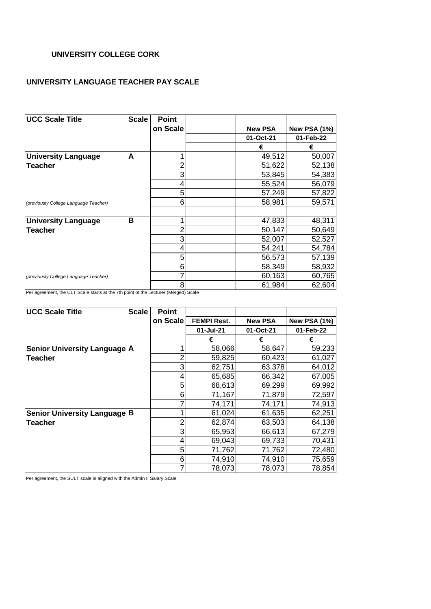#### **UNIVERSITY LANGUAGE TEACHER PAY SCALE**

| <b>UCC Scale Title</b>                | <b>Scale</b> | <b>Point</b> |                |              |
|---------------------------------------|--------------|--------------|----------------|--------------|
|                                       |              | on Scale     | <b>New PSA</b> | New PSA (1%) |
|                                       |              |              | 01-Oct-21      | 01-Feb-22    |
|                                       |              |              | €              | €            |
| <b>University Language</b>            | A            |              | 49,512         | 50,007       |
| <b>Teacher</b>                        |              |              | 51,622         | 52,138       |
|                                       |              | 3            | 53,845         | 54,383       |
|                                       |              |              | 55,524         | 56,079       |
|                                       |              | 5            | 57,249         | 57,822       |
| (previously College Language Teacher) |              | 6            | 58,981         | 59,571       |
| <b>University Language</b>            | B            |              | 47,833         | 48,311       |
| <b>Teacher</b>                        |              |              | 50,147         | 50,649       |
|                                       |              | 3            | 52,007         | 52,527       |
|                                       |              | 4            | 54,241         | 54,784       |
|                                       |              | 5            | 56,573         | 57,139       |
|                                       |              | 6            | 58,349         | 58,932       |
| (previously College Language Teacher) |              |              | 60,163         | 60,765       |
|                                       |              | 8            | 61,984         | 62,604       |

Per agreement, the CLT Scale starts at the 7th point of the Lecturer (Merged) Scale

| <b>UCC Scale Title</b>       | <b>Scale</b> | Point    |                    |                |                     |
|------------------------------|--------------|----------|--------------------|----------------|---------------------|
|                              |              | on Scale | <b>FEMPI Rest.</b> | <b>New PSA</b> | <b>New PSA (1%)</b> |
|                              |              |          | 01-Jul-21          | 01-Oct-21      | 01-Feb-22           |
|                              |              |          | €                  | €              | €                   |
| Senior University Language A |              |          | 58,066             | 58,647         | 59,233              |
| Teacher                      |              |          | 59,825             | 60,423         | 61,027              |
|                              |              | 3        | 62,751             | 63,378         | 64,012              |
|                              |              |          | 65,685             | 66,342         | 67,005              |
|                              |              | 5        | 68,613             | 69,299         | 69,992              |
|                              |              | 6        | 71,167             | 71,879         | 72,597              |
|                              |              |          | 74,171             | 74,171         | 74,913              |
| Senior University Language B |              |          | 61,024             | 61,635         | 62,251              |
| Teacher                      |              | 2        | 62,874             | 63,503         | 64,138              |
|                              |              | 3        | 65,953             | 66,613         | 67,279              |
|                              |              |          | 69,043             | 69,733         | 70,431              |
|                              |              | 5        | 71,762             | 71,762         | 72,480              |
|                              |              | 6        | 74,910             | 74,910         | 75,659              |
|                              |              |          | 78,073             | 78,073         | 78,854              |

Per agreement, the SULT scale is aligned with the Admin II Salary Scale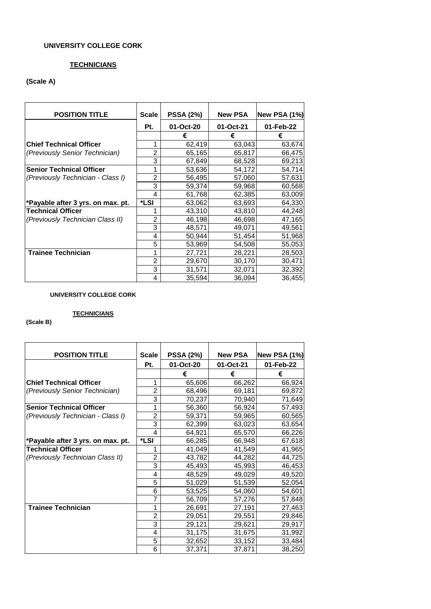#### **TECHNICIANS**

#### **(Scale A)**

| <b>POSITION TITLE</b>             | <b>Scale</b>   | <b>PSSA (2%)</b> | <b>New PSA</b>      | <b>New PSA (1%)</b> |
|-----------------------------------|----------------|------------------|---------------------|---------------------|
|                                   | Pt.            | 01-Oct-20        | 01-Oct-21           | 01-Feb-22           |
|                                   |                | €                | €                   | €                   |
| <b>Chief Technical Officer</b>    |                | 62,419           | 63,043              | 63,674              |
| (Previously Senior Technician)    | $\overline{2}$ | 65,165           | 65,817              | 66,475              |
|                                   | 3              | 67,849           | 68,528              | 69,213              |
| <b>Senior Technical Officer</b>   |                | 53,636           | $\overline{5}4,172$ | 54,714              |
| (Previously Technician - Class I) | 2              | 56,495           | 57,060              | 57,631              |
|                                   | 3              | 59,374           | 59,968              | 60,568              |
|                                   | 4              | 61,768           | 62,385              | 63,009              |
| *Payable after 3 yrs. on max. pt. | *LSI           | 63,062           | 63,693              | 64,330              |
| <b>Technical Officer</b>          |                | 43,310           | 43,810              | 44,248              |
| (Previously Technician Class II)  | 2              | 46,198           | 46,698              | 47,165              |
|                                   | 3              | 48,571           | 49,071              | 49,561              |
|                                   | 4              | 50,944           | 51,454              | 51,968              |
|                                   | 5              | 53,969           | 54,508              | 55,053              |
| <b>Trainee Technician</b>         |                | 27,721           | 28,221              | 28,503              |
|                                   | $\overline{2}$ | 29,670           | 30,170              | 30,471              |
|                                   | 3              | 31,571           | 32,071              | 32,392              |
|                                   | 4              | 35,594           | 36,094              | 36,455              |

#### **UNIVERSITY COLLEGE CORK**

#### **TECHNICIANS**

#### **(Scale B)**

| <b>POSITION TITLE</b>             | <b>Scale</b>   | <b>PSSA (2%)</b> | <b>New PSA</b> | <b>New PSA (1%)</b> |
|-----------------------------------|----------------|------------------|----------------|---------------------|
|                                   | Pt.            | 01-Oct-20        | 01-Oct-21      | 01-Feb-22           |
|                                   |                | €                | €              | €                   |
| <b>Chief Technical Officer</b>    | 1              | 65,606           | 66,262         | 66,924              |
| (Previously Senior Technician)    | $\overline{2}$ | 68,496           | 69,181         | 69,872              |
|                                   | 3              | 70,237           | 70,940         | 71,649              |
| <b>Senior Technical Officer</b>   | 1              | 56,360           | 56,924         | 57,493              |
| (Previously Technician - Class I) | $\overline{c}$ | 59,371           | 59,965         | 60,565              |
|                                   | 3              | 62,399           | 63,023         | 63,654              |
|                                   | 4              | 64,921           | 65,570         | 66,226              |
| *Payable after 3 yrs. on max. pt. | *LSI           | 66,285           | 66,948         | 67,618              |
| <b>Technical Officer</b>          | 1              | 41,049           | 41,549         | 41,965              |
| (Previously Technician Class II)  | 2              | 43,782           | 44,282         | 44,725              |
|                                   | 3              | 45,493           | 45,993         | 46,453              |
|                                   | 4              | 48,529           | 49,029         | 49,520              |
|                                   | 5              | 51,029           | 51,539         | 52,054              |
|                                   | 6              | 53,525           | 54,060         | 54,601              |
|                                   | $\overline{7}$ | 56,709           | 57,276         | 57,848              |
| <b>Trainee Technician</b>         | 1              | 26,691           | 27,191         | 27,463              |
|                                   | 2              | 29,051           | 29,551         | 29,846              |
|                                   | 3              | 29,121           | 29,621         | 29,917              |
|                                   | 4              | 31,175           | 31,675         | 31,992              |
|                                   | 5              | 32,652           | 33,152         | 33,484              |
|                                   | 6              | 37,371           | 37,871         | 38,250              |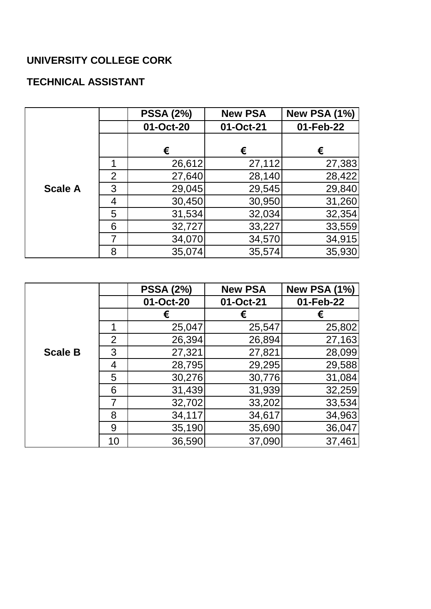## **TECHNICAL ASSISTANT**

|                |                | <b>PSSA (2%)</b> | <b>New PSA</b> | <b>New PSA (1%)</b> |
|----------------|----------------|------------------|----------------|---------------------|
|                |                | 01-Oct-20        | 01-Oct-21      | 01-Feb-22           |
|                |                | €                | €              | €                   |
|                | 1              | 26,612           | 27,112         | 27,383              |
|                | $\overline{2}$ | 27,640           | 28,140         | 28,422              |
| <b>Scale A</b> | 3              | 29,045           | 29,545         | 29,840              |
|                | 4              | 30,450           | 30,950         | 31,260              |
|                | 5              | 31,534           | 32,034         | 32,354              |
|                | 6              | 32,727           | 33,227         | 33,559              |
|                | 7              | 34,070           | 34,570         | 34,915              |
|                | 8              | 35,074           | 35,574         | 35,930              |

|                |                | <b>PSSA (2%)</b> | <b>New PSA</b> | <b>New PSA (1%)</b> |
|----------------|----------------|------------------|----------------|---------------------|
|                |                | 01-Oct-20        | 01-Oct-21      | 01-Feb-22           |
|                |                |                  |                | €                   |
|                |                | 25,047           | 25,547         | 25,802              |
|                | $\overline{2}$ | 26,394           | 26,894         | 27,163              |
| <b>Scale B</b> | 3              | 27,321           | 27,821         | 28,099              |
|                | 4              | 28,795           | 29,295         | 29,588              |
|                | 5              | 30,276           | 30,776         | 31,084              |
|                | 6              | 31,439           | 31,939         | 32,259              |
|                | 7              | 32,702           | 33,202         | 33,534              |
|                | 8              | 34,117           | 34,617         | 34,963              |
|                | 9              | 35,190           | 35,690         | 36,047              |
|                | 10             | 36,590           | 37,090         | 37,461              |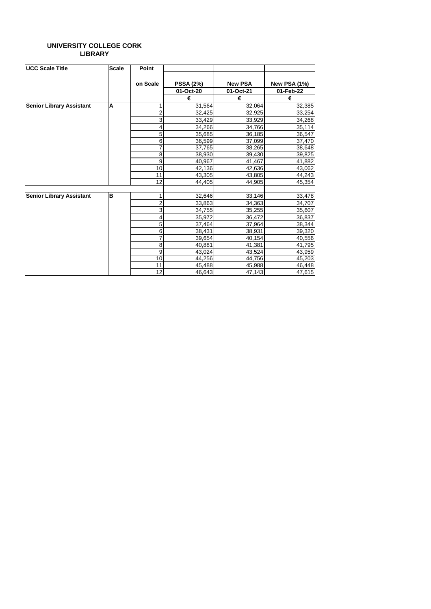#### **UNIVERSITY COLLEGE CORK LIBRARY**

| <b>UCC Scale Title</b>          | <b>Scale</b> | Point          |                  |                |                     |
|---------------------------------|--------------|----------------|------------------|----------------|---------------------|
|                                 |              | on Scale       | <b>PSSA (2%)</b> | <b>New PSA</b> | <b>New PSA (1%)</b> |
|                                 |              |                | 01-Oct-20        | 01-Oct-21      | 01-Feb-22           |
|                                 |              |                | €                | €              | €                   |
| <b>Senior Library Assistant</b> | A            | 1              | 31,564           | 32,064         | 32,385              |
|                                 |              | $\overline{2}$ | 32,425           | 32,925         | 33,254              |
|                                 |              | 3              | 33,429           | 33,929         | 34,268              |
|                                 |              | 4              | 34,266           | 34,766         | 35,114              |
|                                 |              | 5              | 35,685           | 36,185         | 36,547              |
|                                 |              | 6              | 36,599           | 37,099         | 37,470              |
|                                 |              | 7              | 37,765           | 38,265         | 38,648              |
|                                 |              | 8              | 38,930           | 39,430         | 39,825              |
|                                 |              | 9              | 40,967           | 41,467         | 41,882              |
|                                 |              | 10             | 42,136           | 42,636         | 43,062              |
|                                 |              | 11             | 43,305           | 43,805         | 44,243              |
|                                 |              | 12             | 44,405           | 44,905         | 45,354              |
|                                 |              |                |                  |                |                     |
| <b>Senior Library Assistant</b> | B            | 1              | 32,646           | 33,146         | 33,478              |
|                                 |              | $\overline{2}$ | 33,863           | 34,363         | 34,707              |
|                                 |              | 3              | 34,755           | 35,255         | 35,607              |
|                                 |              | 4              | 35,972           | 36,472         | 36,837              |
|                                 |              | 5              | 37,464           | 37,964         | 38,344              |
|                                 |              | 6              | 38,431           | 38,931         | 39,320              |
|                                 |              | 7              | 39,654           | 40,154         | 40,556              |
|                                 |              | 8              | 40,881           | 41,381         | 41,795              |
|                                 |              | $\overline{9}$ | 43,024           | 43,524         | 43,959              |
|                                 |              | 10             | 44,256           | 44,756         | 45,203              |
|                                 |              | 11             | 45,488           | 45,988         | 46,448              |
|                                 |              | 12             | 46,643           | 47,143         | 47,615              |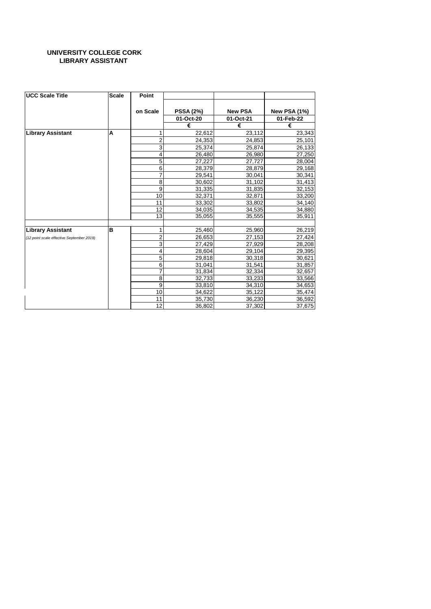#### **UNIVERSITY COLLEGE CORK LIBRARY ASSISTANT**

| <b>UCC Scale Title</b>                    | <b>Scale</b> | Point          |                  |                |                     |
|-------------------------------------------|--------------|----------------|------------------|----------------|---------------------|
|                                           |              | on Scale       | <b>PSSA (2%)</b> | <b>New PSA</b> | <b>New PSA (1%)</b> |
|                                           |              |                | 01-Oct-20        | 01-Oct-21      | 01-Feb-22           |
|                                           |              |                | €                | €              | €                   |
| <b>Library Assistant</b>                  | A            | 1              | 22,612           | 23,112         | 23,343              |
|                                           |              | $\overline{2}$ | 24,353           | 24,853         | 25,101              |
|                                           |              | 3              | 25,374           | 25,874         | 26,133              |
|                                           |              | 4              | 26,480           | 26,980         | 27,250              |
|                                           |              | 5              | 27,227           | 27,727         | 28,004              |
|                                           |              | 6              | 28,379           | 28,879         | 29,168              |
|                                           |              | $\overline{7}$ | 29,541           | 30,041         | 30,341              |
|                                           |              | 8              | 30,602           | 31,102         | 31,413              |
|                                           |              | 9              | 31,335           | 31,835         | 32,153              |
|                                           |              | 10             | 32,371           | 32,871         | 33,200              |
|                                           |              | 11             | 33,302           | 33,802         | 34,140              |
|                                           |              | 12             | 34,035           | 34,535         | 34,880              |
|                                           |              | 13             | 35,055           | 35,555         | 35,911              |
| <b>Library Assistant</b>                  | B            | 1              | 25,460           | 25,960         | 26,219              |
| (12 point scale effective September 2019) |              | $\overline{2}$ | 26,653           | 27,153         | 27,424              |
|                                           |              | 3              | 27,429           | 27,929         | 28,208              |
|                                           |              | 4              | 28,604           | 29,104         | 29,395              |
|                                           |              | 5              | 29,818           | 30,318         | 30,621              |
|                                           |              | 6              | 31,041           | 31,541         | 31,857              |
|                                           |              | $\overline{7}$ | 31,834           | 32,334         | 32,657              |
|                                           |              | 8              | 32,733           | 33,233         | 33,566              |
|                                           |              | 9              | 33,810           | 34,310         | 34,653              |
|                                           |              | 10             | 34,622           | 35,122         | 35,474              |
|                                           |              | 11             | 35,730           | 36,230         | 36,592              |
|                                           |              | 12             | 36,802           | 37,302         | 37,675              |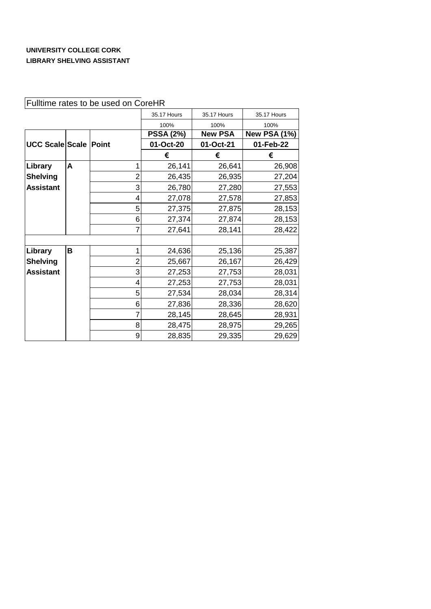#### **UNIVERSITY COLLEGE CORK LIBRARY SHELVING ASSISTANT**

|                        |   |                | 35.17 Hours      | 35.17 Hours    | 35.17 Hours         |
|------------------------|---|----------------|------------------|----------------|---------------------|
|                        |   |                | 100%             | 100%           | 100%                |
|                        |   |                | <b>PSSA (2%)</b> | <b>New PSA</b> | <b>New PSA (1%)</b> |
| <b>UCC Scale Scale</b> |   | <b>Point</b>   | 01-Oct-20        | 01-Oct-21      | 01-Feb-22           |
|                        |   |                | €                | €              | €                   |
| Library                | A |                | 26,141           | 26,641         | 26,908              |
| <b>Shelving</b>        |   | $\overline{2}$ | 26,435           | 26,935         | 27,204              |
| <b>Assistant</b>       |   | 3              | 26,780           | 27,280         | 27,553              |
|                        |   | 4              | 27,078           | 27,578         | 27,853              |
|                        |   | 5              | 27,375           | 27,875         | 28,153              |
|                        |   | 6              | 27,374           | 27,874         | 28,153              |
|                        |   |                | 27,641           | 28,141         | 28,422              |
|                        |   |                |                  |                |                     |
| Library                | B |                | 24,636           | 25,136         | 25,387              |
| <b>Shelving</b>        |   | 2              | 25,667           | 26,167         | 26,429              |
| <b>Assistant</b>       |   | 3              | 27,253           | 27,753         | 28,031              |
|                        |   | 4              | 27,253           | 27,753         | 28,031              |
|                        |   | 5              | 27,534           | 28,034         | 28,314              |
|                        |   | 6              | 27,836           | 28,336         | 28,620              |
|                        |   |                | 28,145           | 28,645         | 28,931              |
|                        |   | 8              | 28,475           | 28,975         | 29,265              |
|                        |   | 9              | 28,835           | 29,335         | 29,629              |

## Fulltime rates to be used on CoreHR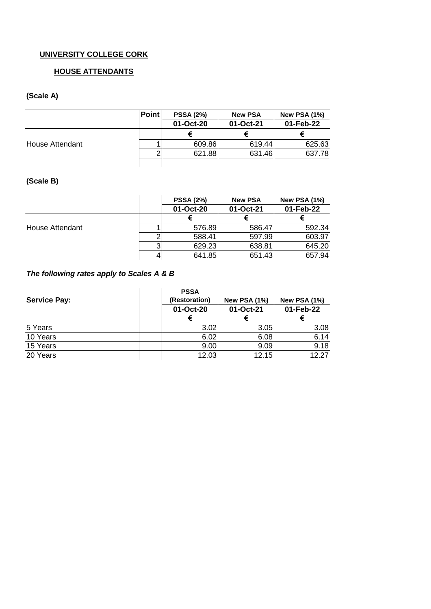#### **HOUSE ATTENDANTS**

## **(Scale A)**

|                 | <b>Point</b> | <b>PSSA (2%)</b> | <b>New PSA</b> | <b>New PSA (1%)</b> |
|-----------------|--------------|------------------|----------------|---------------------|
|                 |              | 01-Oct-20        | 01-Oct-21      | 01-Feb-22           |
|                 |              |                  |                |                     |
| House Attendant |              | 609.86           | 619.44         | 625.63              |
|                 |              | 621.88           | 631.46         | 637.78              |
|                 |              |                  |                |                     |

### **(Scale B)**

|                 |   | <b>PSSA (2%)</b> | <b>New PSA</b> | <b>New PSA (1%)</b> |
|-----------------|---|------------------|----------------|---------------------|
|                 |   | 01-Oct-20        | 01-Oct-21      | 01-Feb-22           |
|                 |   |                  |                |                     |
| House Attendant |   | 576.89           | 586.47         | 592.34              |
|                 |   | 588.41           | 597.99         | 603.97              |
|                 | າ | 629.23           | 638.81         | 645.20              |
|                 |   | 641.85           | 651.43         | 657.94              |

### *The following rates apply to Scales A & B*

| <b>Service Pay:</b> | <b>PSSA</b><br>(Restoration)<br>01-Oct-20 | <b>New PSA (1%)</b><br>01-Oct-21 | <b>New PSA (1%)</b><br>01-Feb-22 |
|---------------------|-------------------------------------------|----------------------------------|----------------------------------|
|                     |                                           |                                  |                                  |
| 5 Years             | 3.02                                      | 3.05                             | 3.08                             |
| 10 Years            | 6.02                                      | 6.08                             | 6.14                             |
| 15 Years            | 9.00                                      | 9.09                             | 9.18                             |
| 20 Years            | 12.03                                     | 12.15                            | 12.27                            |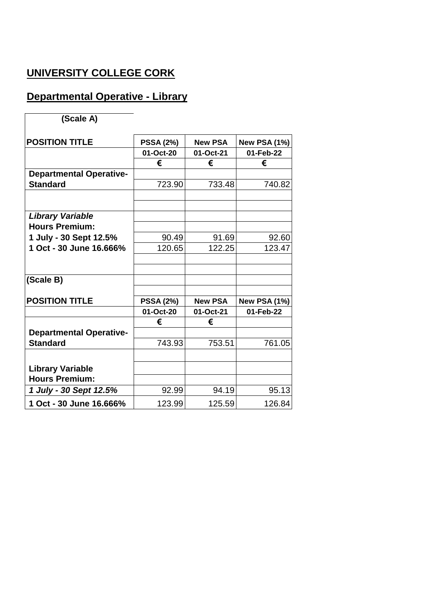## **Departmental Operative - Library**

**(Scale A)**

| <b>POSITION TITLE</b>          | <b>PSSA (2%)</b> | <b>New PSA</b> | <b>New PSA (1%)</b> |
|--------------------------------|------------------|----------------|---------------------|
|                                | 01-Oct-20        | 01-Oct-21      | 01-Feb-22           |
|                                | €                | €              | €                   |
| <b>Departmental Operative-</b> |                  |                |                     |
| <b>Standard</b>                | 723.90           | 733.48         | 740.82              |
|                                |                  |                |                     |
| <b>Library Variable</b>        |                  |                |                     |
| <b>Hours Premium:</b>          |                  |                |                     |
| 1 July - 30 Sept 12.5%         | 90.49            | 91.69          | 92.60               |
| 1 Oct - 30 June 16.666%        | 120.65           | 122.25         | 123.47              |
|                                |                  |                |                     |
|                                |                  |                |                     |
| (Scale B)                      |                  |                |                     |
|                                |                  |                |                     |
| <b>POSITION TITLE</b>          | <b>PSSA (2%)</b> | <b>New PSA</b> | <b>New PSA (1%)</b> |
|                                | 01-Oct-20        | 01-Oct-21      | 01-Feb-22           |
|                                | €                | €              |                     |
| <b>Departmental Operative-</b> |                  |                |                     |
| <b>Standard</b>                | 743.93           | 753.51         | 761.05              |
|                                |                  |                |                     |
| <b>Library Variable</b>        |                  |                |                     |
| <b>Hours Premium:</b>          |                  |                |                     |
| 1 July - 30 Sept 12.5%         | 92.99            | 94.19          | 95.13               |
| 1 Oct - 30 June 16.666%        | 123.99           | 125.59         | 126.84              |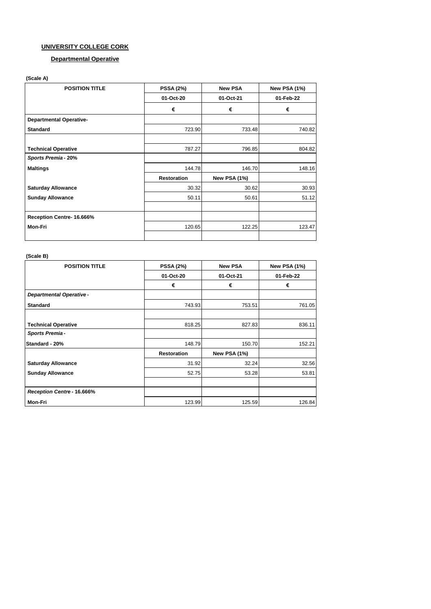#### **Departmental Operative**

#### **(Scale A)**

| <b>POSITION TITLE</b>          | <b>PSSA (2%)</b>   | <b>New PSA</b>      | <b>New PSA (1%)</b> |
|--------------------------------|--------------------|---------------------|---------------------|
|                                | 01-Oct-20          | 01-Oct-21           | 01-Feb-22           |
|                                | €                  | €                   | €                   |
| <b>Departmental Operative-</b> |                    |                     |                     |
| <b>Standard</b>                | 723.90             | 733.48              | 740.82              |
|                                |                    |                     |                     |
| <b>Technical Operative</b>     | 787.27             | 796.85              | 804.82              |
| Sports Premia - 20%            |                    |                     |                     |
| <b>Maltings</b>                | 144.78             | 146.70              | 148.16              |
|                                | <b>Restoration</b> | <b>New PSA (1%)</b> |                     |
| <b>Saturday Allowance</b>      | 30.32              | 30.62               | 30.93               |
| <b>Sunday Allowance</b>        | 50.11              | 50.61               | 51.12               |
|                                |                    |                     |                     |
| Reception Centre- 16.666%      |                    |                     |                     |
| Mon-Fri                        | 120.65             | 122.25              | 123.47              |
|                                |                    |                     |                     |

#### **(Scale B)**

| <b>POSITION TITLE</b>          | <b>PSSA (2%)</b>   | <b>New PSA</b>      | <b>New PSA (1%)</b> |  |
|--------------------------------|--------------------|---------------------|---------------------|--|
|                                | 01-Oct-20          | 01-Oct-21           | 01-Feb-22           |  |
|                                | €                  | €                   | €                   |  |
| <b>Departmental Operative-</b> |                    |                     |                     |  |
| <b>Standard</b>                | 743.93             | 753.51              | 761.05              |  |
|                                |                    |                     |                     |  |
| <b>Technical Operative</b>     | 818.25             | 827.83              | 836.11              |  |
| <b>Sports Premia-</b>          |                    |                     |                     |  |
| Standard - 20%                 | 148.79             | 150.70              | 152.21              |  |
|                                | <b>Restoration</b> | <b>New PSA (1%)</b> |                     |  |
| <b>Saturday Allowance</b>      | 31.92              | 32.24               | 32.56               |  |
| <b>Sunday Allowance</b>        | 52.75              | 53.28               | 53.81               |  |
|                                |                    |                     |                     |  |
| Reception Centre - 16.666%     |                    |                     |                     |  |
| <b>Mon-Fri</b>                 | 123.99             | 125.59              | 126.84              |  |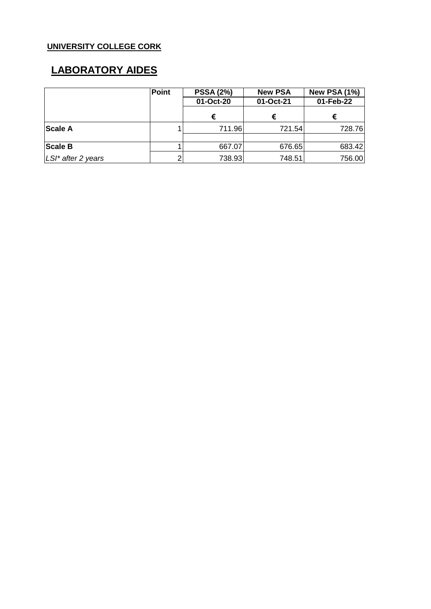## **LABORATORY AIDES**

|                    | <b>Point</b> | <b>PSSA (2%)</b> | <b>New PSA</b> | <b>New PSA (1%)</b> |
|--------------------|--------------|------------------|----------------|---------------------|
|                    |              | 01-Oct-20        | 01-Oct-21      | 01-Feb-22           |
|                    |              | €                | €              | €                   |
| <b>Scale A</b>     |              | 711.96           | 721.54         | 728.76              |
|                    |              |                  |                |                     |
| <b>Scale B</b>     |              | 667.07           | 676.65         | 683.42              |
| LSI* after 2 years |              | 738.93           | 748.51         | 756.00              |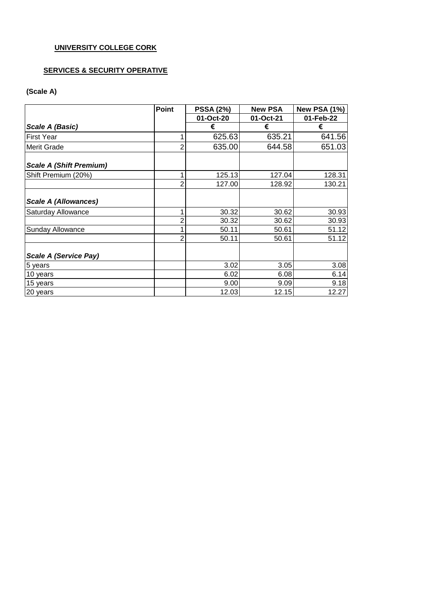### **SERVICES & SECURITY OPERATIVE**

#### **(Scale A)**

|                                | <b>Point</b>   | <b>PSSA (2%)</b> | <b>New PSA</b> | <b>New PSA (1%)</b> |
|--------------------------------|----------------|------------------|----------------|---------------------|
|                                |                | 01-Oct-20        | 01-Oct-21      | 01-Feb-22           |
| Scale A (Basic)                |                | €                | €              | €                   |
| <b>First Year</b>              |                | 625.63           | 635.21         | 641.56              |
| <b>Merit Grade</b>             | 2              | 635.00           | 644.58         | 651.03              |
| <b>Scale A (Shift Premium)</b> |                |                  |                |                     |
| Shift Premium (20%)            |                | 125.13           | 127.04         | 128.31              |
|                                | $\overline{2}$ | 127.00           | 128.92         | 130.21              |
| <b>Scale A (Allowances)</b>    |                |                  |                |                     |
| Saturday Allowance             | 1              | 30.32            | 30.62          | 30.93               |
|                                | 2              | 30.32            | 30.62          | 30.93               |
| Sunday Allowance               | 1              | 50.11            | 50.61          | 51.12               |
|                                | $\overline{2}$ | 50.11            | 50.61          | 51.12               |
| <b>Scale A (Service Pay)</b>   |                |                  |                |                     |
| 5 years                        |                | 3.02             | 3.05           | 3.08                |
| 10 years                       |                | 6.02             | 6.08           | 6.14                |
| 15 years                       |                | 9.00             | 9.09           | 9.18                |
| 20 years                       |                | 12.03            | 12.15          | 12.27               |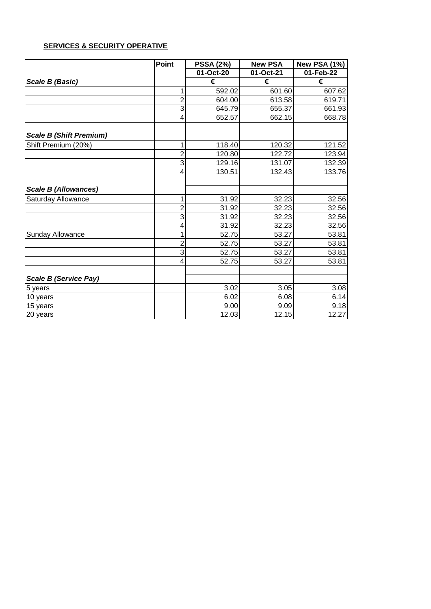### **SERVICES & SECURITY OPERATIVE**

|                                | <b>Point</b>   | <b>PSSA (2%)</b> | <b>New PSA</b> | New PSA (1%) |
|--------------------------------|----------------|------------------|----------------|--------------|
|                                |                | 01-Oct-20        | 01-Oct-21      | 01-Feb-22    |
| Scale B (Basic)                |                | €                | €              | €            |
|                                | 1              | 592.02           | 601.60         | 607.62       |
|                                | $\overline{2}$ | 604.00           | 613.58         | 619.71       |
|                                | $\overline{3}$ | 645.79           | 655.37         | 661.93       |
|                                | 4              | 652.57           | 662.15         | 668.78       |
| <b>Scale B (Shift Premium)</b> |                |                  |                |              |
| Shift Premium (20%)            | 1              | 118.40           | 120.32         | 121.52       |
|                                | $\overline{2}$ | 120.80           | 122.72         | 123.94       |
|                                | $\overline{3}$ | 129.16           | 131.07         | 132.39       |
|                                | 4              | 130.51           | 132.43         | 133.76       |
| <b>Scale B (Allowances)</b>    |                |                  |                |              |
| Saturday Allowance             | 1              | 31.92            | 32.23          | 32.56        |
|                                | $\overline{c}$ | 31.92            | 32.23          | 32.56        |
|                                | $\overline{3}$ | 31.92            | 32.23          | 32.56        |
|                                | 4              | 31.92            | 32.23          | 32.56        |
| <b>Sunday Allowance</b>        | 1              | 52.75            | 53.27          | 53.81        |
|                                | $\overline{c}$ | 52.75            | 53.27          | 53.81        |
|                                | $\overline{3}$ | 52.75            | 53.27          | 53.81        |
|                                | 4              | 52.75            | 53.27          | 53.81        |
| <b>Scale B (Service Pay)</b>   |                |                  |                |              |
| 5 years                        |                | 3.02             | 3.05           | 3.08         |
| 10 years                       |                | 6.02             | 6.08           | 6.14         |
| 15 years                       |                | 9.00             | 9.09           | 9.18         |
| 20 years                       |                | 12.03            | 12.15          | 12.27        |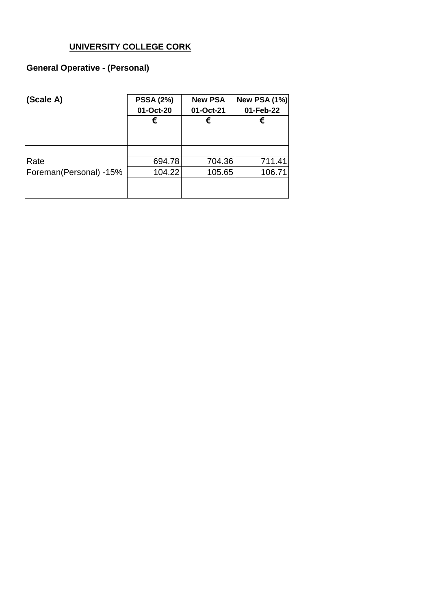## **General Operative - (Personal)**

| (Scale A)              | <b>PSSA (2%)</b> | <b>New PSA</b> | <b>New PSA (1%)</b> |  |
|------------------------|------------------|----------------|---------------------|--|
|                        | 01-Oct-20        | 01-Oct-21      | 01-Feb-22           |  |
|                        | €                | €              | €                   |  |
|                        |                  |                |                     |  |
|                        |                  |                |                     |  |
| Rate                   | 694.78           | 704.36         | 711.41              |  |
| Foreman(Personal) -15% | 104.22           | 105.65         | 106.71              |  |
|                        |                  |                |                     |  |
|                        |                  |                |                     |  |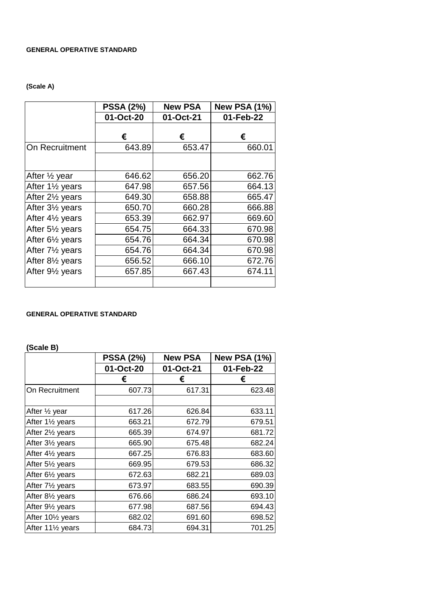#### **GENERAL OPERATIVE STANDARD**

### **(Scale A)**

|                                           | <b>PSSA (2%)</b> | <b>New PSA</b> | <b>New PSA (1%)</b> |
|-------------------------------------------|------------------|----------------|---------------------|
|                                           | 01-Oct-20        | 01-Oct-21      | 01-Feb-22           |
|                                           | €                | €              | €                   |
| On Recruitment                            | 643.89           | 653.47         | 660.01              |
|                                           |                  |                |                     |
| After 1/2 year                            | 646.62           | 656.20         | 662.76              |
| After 1 <sup>1</sup> / <sub>2</sub> years | 647.98           | 657.56         | 664.13              |
| After 2 <sup>1/2</sup> years              | 649.30           | 658.88         | 665.47              |
| After 3 <sup>1/2</sup> years              | 650.70           | 660.28         | 666.88              |
| After 41/ <sub>2</sub> years              | 653.39           | 662.97         | 669.60              |
| After 5 <sup>1/2</sup> years              | 654.75           | 664.33         | 670.98              |
| After 61/ <sub>2</sub> years              | 654.76           | 664.34         | 670.98              |
| After 7 <sup>1/2</sup> years              | 654.76           | 664.34         | 670.98              |
| After 81/ <sub>2</sub> years              | 656.52           | 666.10         | 672.76              |
| After 91/ <sub>2</sub> years              | 657.85           | 667.43         | 674.11              |
|                                           |                  |                |                     |

#### **GENERAL OPERATIVE STANDARD**

#### **(Scale B)**

|                                            | <b>PSSA (2%)</b> | <b>New PSA</b> | <b>New PSA (1%)</b> |
|--------------------------------------------|------------------|----------------|---------------------|
|                                            | 01-Oct-20        | 01-Oct-21      | 01-Feb-22           |
|                                            | €                | €              | €                   |
| On Recruitment                             | 607.73           | 617.31         | 623.48              |
|                                            |                  |                |                     |
| After 1/2 year                             | 617.26           | 626.84         | 633.11              |
| After 11/2 years                           | 663.21           | 672.79         | 679.51              |
| After 21/ <sub>2</sub> years               | 665.39           | 674.97         | 681.72              |
| After 31/ <sub>2</sub> years               | 665.90           | 675.48         | 682.24              |
| After 41/2 years                           | 667.25           | 676.83         | 683.60              |
| After 51/2 years                           | 669.95           | 679.53         | 686.32              |
| After 61/ <sub>2</sub> years               | 672.63           | 682.21         | 689.03              |
| After 71/2 years                           | 673.97           | 683.55         | 690.39              |
| After 81/ <sub>2</sub> years               | 676.66           | 686.24         | 693.10              |
| After 91/ <sub>2</sub> years               | 677.98           | 687.56         | 694.43              |
| After 10 <sup>1</sup> / <sub>2</sub> years | 682.02           | 691.60         | 698.52              |
| After 111/2 years                          | 684.73           | 694.31         | 701.25              |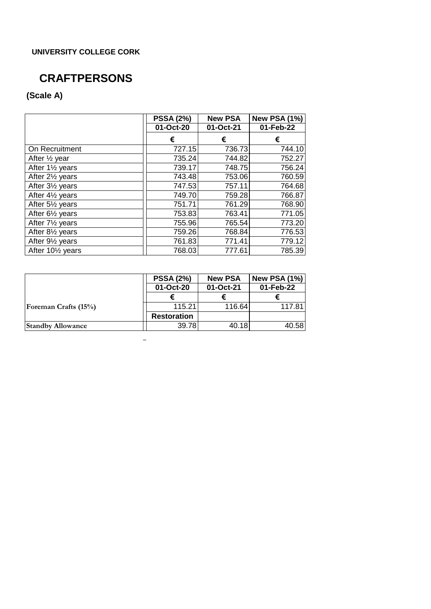## **CRAFTPERSONS**

## **(Scale A)**

|                              | <b>PSSA (2%)</b> | <b>New PSA</b> | <b>New PSA (1%)</b> |
|------------------------------|------------------|----------------|---------------------|
|                              | 01-Oct-20        | 01-Oct-21      | 01-Feb-22           |
|                              | €                | €              | €                   |
| On Recruitment               | 727.15           | 736.73         | 744.10              |
| After $\frac{1}{2}$ year     | 735.24           | 744.82         | 752.27              |
| After 11/2 years             | 739.17           | 748.75         | 756.24              |
| After 21/ <sub>2</sub> years | 743.48           | 753.06         | 760.59              |
| After 31/2 years             | 747.53           | 757.11         | 764.68              |
| After 41/ <sub>2</sub> years | 749.70           | 759.28         | 766.87              |
| After 51/ <sub>2</sub> years | 751.71           | 761.29         | 768.90              |
| After 61/ <sub>2</sub> years | 753.83           | 763.41         | 771.05              |
| After 71/ <sub>2</sub> years | 755.96           | 765.54         | 773.20              |
| After 81/2 years             | 759.26           | 768.84         | 776.53              |
| After 91/ <sub>2</sub> years | 761.83           | 771.41         | 779.12              |
| After 101/2 years            | 768.03           | 777.61         | 785.39              |

|                             | <b>PSSA (2%)</b>   | <b>New PSA</b> | <b>New PSA (1%)</b> |
|-----------------------------|--------------------|----------------|---------------------|
|                             | 01-Oct-20          | 01-Oct-21      | 01-Feb-22           |
|                             |                    |                |                     |
| <b>Foreman Crafts (15%)</b> | 115.21             | 116.64         | 117.81              |
|                             | <b>Restoration</b> |                |                     |
| <b>Standby Allowance</b>    | 39.78              | 40.18          | 40.58               |

 $\equiv$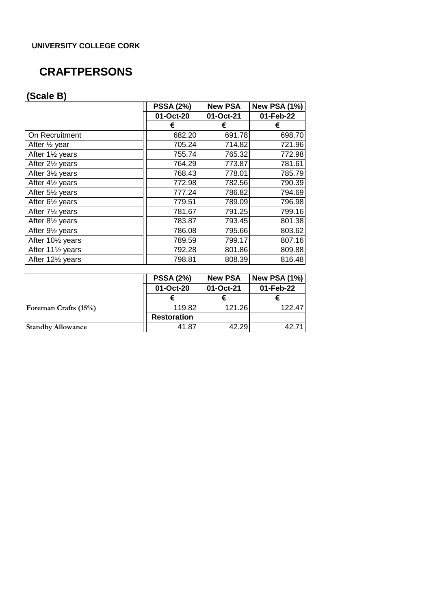## **CRAFTPERSONS**

## **(Scale B)**

|                               | <b>PSSA (2%)</b> | <b>New PSA</b> | <b>New PSA (1%)</b> |
|-------------------------------|------------------|----------------|---------------------|
|                               | 01-Oct-20        | 01-Oct-21      | 01-Feb-22           |
|                               | €                | €              | €                   |
| On Recruitment                | 682.20           | 691.78         | 698.70              |
| After $\frac{1}{2}$ year      | 705.24           | 714.82         | 721.96              |
| After 11/2 years              | 755.74           | 765.32         | 772.98              |
| After 21/ <sub>2</sub> years  | 764.29           | 773.87         | 781.61              |
| After 31/2 years              | 768.43           | 778.01         | 785.79              |
| After 41/2 years              | 772.98           | 782.56         | 790.39              |
| After 51/2 years              | 777.24           | 786.82         | 794.69              |
| After $6\frac{1}{2}$ years    | 779.51           | 789.09         | 796.98              |
| After 71/2 years              | 781.67           | 791.25         | 799.16              |
| After 81/2 years              | 783.87           | 793.45         | 801.38              |
| After 91/ <sub>2</sub> years  | 786.08           | 795.66         | 803.62              |
| After 101/2 years             | 789.59           | 799.17         | 807.16              |
| After 111/2 years             | 792.28           | 801.86         | 809.88              |
| After 121/ <sub>2</sub> years | 798.81           | 808.39         | 816.48              |

|                             | <b>PSSA (2%)</b>   | <b>New PSA</b> | <b>New PSA (1%)</b> |
|-----------------------------|--------------------|----------------|---------------------|
|                             | 01-Oct-20          | 01-Oct-21      | 01-Feb-22           |
|                             |                    |                |                     |
| <b>Foreman Crafts (15%)</b> | 119.82             | 121.26         | 122.47              |
|                             | <b>Restoration</b> |                |                     |
| <b>Standby Allowance</b>    | 41.87              | 42.29          | 42.71               |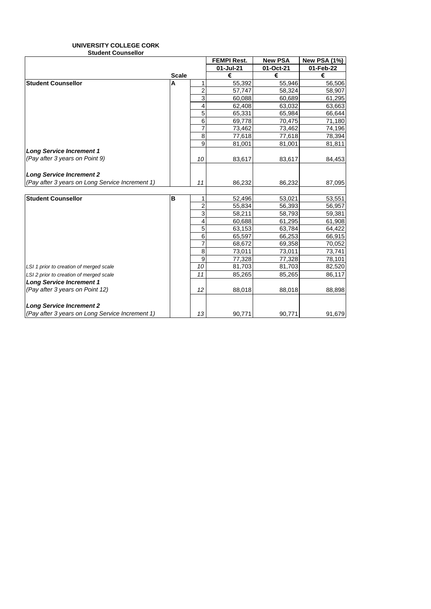#### **UNIVERSITY COLLEGE CORK Student Counsellor**

|                                                 |              |                | <b>FEMPI Rest.</b> | <b>New PSA</b> | <b>New PSA (1%)</b> |
|-------------------------------------------------|--------------|----------------|--------------------|----------------|---------------------|
|                                                 |              |                | 01-Jul-21          | 01-Oct-21      | 01-Feb-22           |
|                                                 | <b>Scale</b> |                | €                  | €              | €                   |
| <b>Student Counsellor</b>                       | A            |                | 55,392             | 55,946         | 56,506              |
|                                                 |              | $\overline{2}$ | 57,747             | 58,324         | 58,907              |
|                                                 |              | 3              | 60,088             | 60,689         | 61,295              |
|                                                 |              | 4              | 62,408             | 63,032         | 63,663              |
|                                                 |              | 5              | 65,331             | 65,984         | 66,644              |
|                                                 |              | 6              | 69,778             | 70,475         | 71,180              |
|                                                 |              | $\overline{7}$ | 73,462             | 73,462         | 74,196              |
|                                                 |              | 8              | 77,618             | 77,618         | 78,394              |
|                                                 |              | 9              | 81,001             | 81,001         | 81,811              |
| <b>Long Service Increment 1</b>                 |              |                |                    |                |                     |
| (Pay after 3 years on Point 9)                  |              | 10             | 83,617             | 83,617         | 84,453              |
| <b>Long Service Increment 2</b>                 |              |                |                    |                |                     |
| (Pay after 3 years on Long Service Increment 1) |              | 11             | 86,232             | 86,232         | 87,095              |
|                                                 |              |                |                    |                |                     |
| <b>Student Counsellor</b>                       | B            | 1              | 52,496             | 53,021         | 53,551              |
|                                                 |              | $\overline{c}$ | 55,834             | 56,393         | 56,957              |
|                                                 |              | 3              | 58,211             | 58,793         | 59,381              |
|                                                 |              | 4              | 60,688             | 61,295         | 61,908              |
|                                                 |              | 5              | 63,153             | 63,784         | 64,422              |
|                                                 |              | 6              | 65,597             | 66,253         | 66,915              |
|                                                 |              | 7              | 68,672             | 69,358         | 70,052              |
|                                                 |              | 8              | 73,011             | 73,011         | 73,741              |
|                                                 |              | 9              | 77,328             | 77,328         | 78,101              |
| LSI 1 prior to creation of merged scale         |              | 10             | 81,703             | 81,703         | 82,520              |
| LSI 2 prior to creation of merged scale         |              | 11             | 85,265             | 85,265         | 86,117              |
| <b>Long Service Increment 1</b>                 |              |                |                    |                |                     |
| (Pay after 3 years on Point 12)                 |              | 12             | 88,018             | 88,018         | 88,898              |
| <b>Long Service Increment 2</b>                 |              |                |                    |                |                     |
| (Pay after 3 years on Long Service Increment 1) |              | 13             | 90,771             | 90,771         | 91,679              |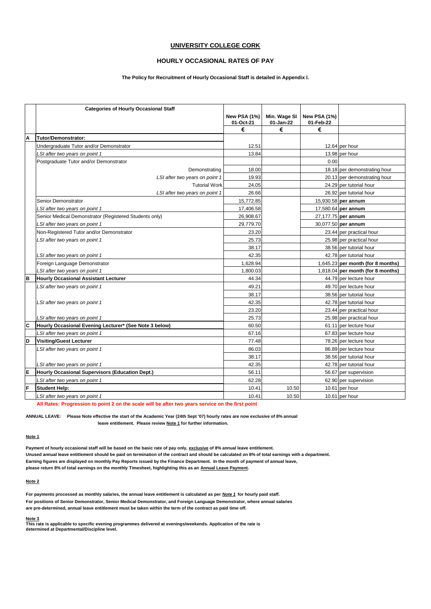#### **HOURLY OCCASIONAL RATES OF PAY**

#### **The Policy for Recruitment of Hourly Occasional Staff is detailed in Appendix I.**

|   | <b>Categories of Hourly Occasional Staff</b>           |                                  |                           |                           |                                   |
|---|--------------------------------------------------------|----------------------------------|---------------------------|---------------------------|-----------------------------------|
|   |                                                        | <b>New PSA (1%)</b><br>01-Oct-21 | Min. Wage SI<br>01-Jan-22 | New PSA (1%)<br>01-Feb-22 |                                   |
|   |                                                        | €                                | €                         | €                         |                                   |
| Α | <b>Tutor/Demonstrator:</b>                             |                                  |                           |                           |                                   |
|   | Undergraduate Tutor and/or Demonstrator                | 12.51                            |                           |                           | 12.64 per hour                    |
|   | LSI after two years on point 1                         | 13.84                            |                           |                           | 13.98 per hour                    |
|   | Postgraduate Tutor and/or Demonstrator                 |                                  |                           | 0.00                      |                                   |
|   | Demonstrating                                          | 18.00                            |                           |                           | 18.18 per demonstrating hour      |
|   | LSI after two years on point 1                         | 19.93                            |                           |                           | 20.13 per demonstrating hour      |
|   | <b>Tutorial Work</b>                                   | 24.05                            |                           |                           | 24.29 per tutorial hour           |
|   | LSI after two years on point 1                         | 26.66                            |                           |                           | 26.92 per tutorial hour           |
|   | Senior Demonstrator                                    | 15,772.85                        |                           |                           | 15,930.58 per annum               |
|   | LSI after two years on point 1                         | 17,406.58                        |                           |                           | 17,580.64 per annum               |
|   | Senior Medical Demonstrator (Registered Students only) | 26,908.67                        |                           |                           | 27,177.75 per annum               |
|   | LSI after two years on point 1                         | 29,779.70                        |                           |                           | 30,077.50 per annum               |
|   | Non-Registered Tutor and/or Demonstrator               | 23.20                            |                           |                           | 23.44 per practical hour          |
|   | LSI after two years on point 1                         | 25.73                            |                           |                           | 25.98 per practical hour          |
|   |                                                        | 38.17                            |                           |                           | 38.56 per tutorial hour           |
|   | LSI after two years on point 1                         | 42.35                            |                           |                           | 42.78 per tutorial hour           |
|   | Foreign Language Demonstrator                          | 1,628.94                         |                           |                           | 1,645.23 per month (for 8 months) |
|   | LSI after two years on point 1                         | 1,800.03                         |                           |                           | 1,818.04 per month (for 8 months) |
| B | <b>Hourly Occasional Assistant Lecturer</b>            | 44.34                            |                           |                           | 44.79 per lecture hour            |
|   | LSI after two years on point 1                         | 49.21                            |                           |                           | 49.70 per lecture hour            |
|   |                                                        | 38.17                            |                           |                           | 38.56 per tutorial hour           |
|   | LSI after two years on point 1                         | 42.35                            |                           |                           | 42.78 per tutorial hour           |
|   |                                                        | 23.20                            |                           |                           | 23.44 per practical hour          |
|   | LSI after two years on point 1                         | 25.73                            |                           |                           | 25.98 per practical hour          |
| C | Hourly Occasional Evening Lecturer* (See Note 3 below) | 60.50                            |                           |                           | 61.11 per lecture hour            |
|   | LSI after two years on point 1                         | 67.16                            |                           |                           | 67.83 per lecture hour            |
| D | <b>Visiting/Guest Lecturer</b>                         | 77.48                            |                           |                           | 78.26 per lecture hour            |
|   | LSI after two years on point 1                         | 86.03                            |                           |                           | 86.89 per lecture hour            |
|   |                                                        | 38.17                            |                           |                           | 38.56 per tutorial hour           |
|   | LSI after two years on point 1                         | 42.35                            |                           |                           | 42.78 per tutorial hour           |
| E | Hourly Occasional Supervisors (Education Dept.)        | 56.11                            |                           |                           | 56.67 per supervision             |
|   | LSI after two years on point 1                         | 62.28                            |                           |                           | 62.90 per supervision             |
| F | <b>Student Help:</b>                                   | 10.41                            | 10.50                     |                           | 10.61 per hour                    |
|   | LSI after two years on point 1                         | 10.41                            | 10.50                     |                           | 10.61 per hour                    |

**All Rates: Progression to point 2 on the scale will be after two years service on the first point**

**ANNUAL LEAVE: Please Note effective the start of the Academic Year (24th Sept '07) hourly rates are now exclusive of 8% annual leave entitlement. Please review Note 1 for further information.**

#### **Note 1**

**Payment of hourly occasional staff will be based on the basic rate of pay only, exclusive of 8% annual leave entitlement. Unused annual leave entitlement should be paid on termination of the contract and should be calculated on 8% of total earnings with a department. Earning figures are displayed on monthly Pay Reports issued by the Finance Department. In the month of payment of annual leave, please return 8% of total earnings on the monthly Timesheet, highlighting this as an Annual Leave Payment.** 

#### **Note 2**

**For payments processed as monthly salaries, the annual leave entitlement is calculated as per** *Note 1* **for hourly paid staff. For positions of Senior Demonstrator, Senior Medical Demonstrator, and Foreign Language Demonstrator, where annual salaries are pre-determined, annual leave entitlement must be taken within the term of the contract as paid time off.**

#### **Note 3**

**This rate is applicable to specific evening programmes delivered at evenings/weekends. Application of the rate is determined at Departmental/Discipline level.**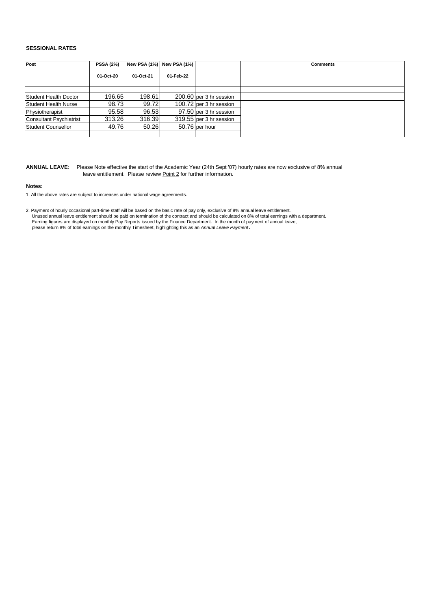#### **SESSIONAL RATES**

| Post                           | <b>PSSA (2%)</b> |           | New PSA (1%) New PSA (1%) |                           | <b>Comments</b> |
|--------------------------------|------------------|-----------|---------------------------|---------------------------|-----------------|
|                                | 01-Oct-20        | 01-Oct-21 | 01-Feb-22                 |                           |                 |
|                                |                  |           |                           |                           |                 |
| Student Health Doctor          | 196.65           | 198.61    |                           | $200.60$ per 3 hr session |                 |
| Student Health Nurse           | 98.73            | 99.72     |                           | 100.72 per 3 hr session   |                 |
| Physiotherapist                | 95.58            | 96.53     |                           | 97.50 per 3 hr session    |                 |
| <b>Consultant Psychiatrist</b> | 313.26           | 316.39    |                           | 319.55 per 3 hr session   |                 |
| Student Counsellor             | 49.76            | 50.26     |                           | 50.76 per hour            |                 |
|                                |                  |           |                           |                           |                 |

**ANNUAL LEAVE**: Please Note effective the start of the Academic Year (24th Sept '07) hourly rates are now exclusive of 8% annual leave entitlement. Please review Point 2 for further information.

#### **Notes:**

1. All the above rates are subject to increases under national wage agreements.

2. Payment of hourly occasional part-time staff will be based on the basic rate of pay only, exclusive of 8% annual leave entitlement. Unused annual leave entitlement should be paid on termination of the contract and should be calculated on 8% of total earnings with a department. Earning figures are displayed on monthly Pay Reports issued by the Finance Department. In the month of payment of annual leave,<br>please return 8% of total earnings on the monthly Timesheet, highlighting this as an *Annual L*